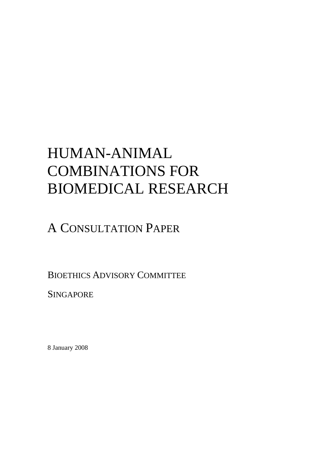# HUMAN-ANIMAL COMBINATIONS FOR BIOMEDICAL RESEARCH

# A CONSULTATION PAPER

BIOETHICS ADVISORY COMMITTEE

**SINGAPORE** 

8 January 2008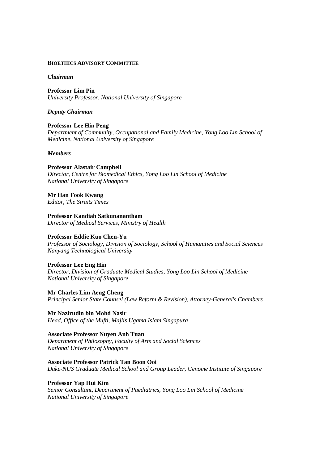### **BIOETHICS ADVISORY COMMITTEE**

### *Chairman*

**Professor Lim Pin** *University Professor, National University of Singapore*

### *Deputy Chairman*

**Professor Lee Hin Peng** *Department of Community, Occupational and Family Medicine, Yong Loo Lin School of Medicine, National University of Singapore*

### *Members*

### **Professor Alastair Campbell**

*Director, Centre for Biomedical Ethics, Yong Loo Lin School of Medicine National University of Singapore*

**Mr Han Fook Kwang**

*Editor, The Straits Times*

**Professor Kandiah Satkunanantham** *Director of Medical Services, Ministry of Health*

### **Professor Eddie Kuo Chen-Yu**

*Professor of Sociology, Division of Sociology, School of Humanities and Social Sciences Nanyang Technological University*

### **Professor Lee Eng Hin**

*Director, Division of Graduate Medical Studies, Yong Loo Lin School of Medicine National University of Singapore*

**Mr Charles Lim Aeng Cheng** *Principal Senior State Counsel (Law Reform & Revision), Attorney-General's Chambers*

**Mr Nazirudin bin Mohd Nasir** *Head, Office of the Mufti, Majlis Ugama Islam Singapura*

### **Associate Professor Nuyen Anh Tuan**

*Department of Philosophy, Faculty of Arts and Social Sciences National University of Singapore*

### **Associate Professor Patrick Tan Boon Ooi**

*Duke-NUS Graduate Medical School and Group Leader, Genome Institute of Singapore*

### **Professor Yap Hui Kim**

*Senior Consultant, Department of Paediatrics, Yong Loo Lin School of Medicine National University of Singapore*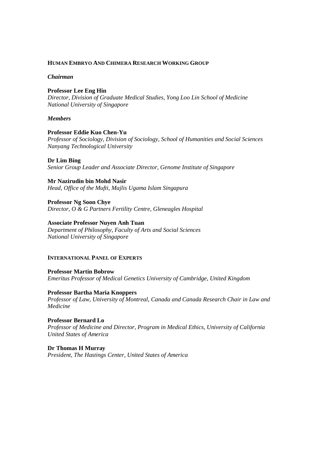### **HUMAN EMBRYO AND CHIMERA RESEARCH WORKING GROUP**

### *Chairman*

### **Professor Lee Eng Hin**

*Director, Division of Graduate Medical Studies, Yong Loo Lin School of Medicine National University of Singapore*

### *Members*

### **Professor Eddie Kuo Chen-Yu**

*Professor of Sociology, Division of Sociology, School of Humanities and Social Sciences Nanyang Technological University*

### **Dr Lim Bing**

*Senior Group Leader and Associate Director, Genome Institute of Singapore*

**Mr Nazirudin bin Mohd Nasir** *Head, Office of the Mufti, Majlis Ugama Islam Singapura*

**Professor Ng Soon Chye** *Director, O & G Partners Fertility Centre, Gleneagles Hospital*

### **Associate Professor Nuyen Anh Tuan**

*Department of Philosophy, Faculty of Arts and Social Sciences National University of Singapore*

### **INTERNATIONAL PANEL OF EXPERTS**

**Professor Martin Bobrow** *Emeritus Professor of Medical Genetics University of Cambridge, United Kingdom*

### **Professor Bartha Maria Knoppers**

*Professor of Law, University of Montreal, Canada and Canada Research Chair in Law and Medicine*

**Professor Bernard Lo** *Professor of Medicine and Director, Program in Medical Ethics, University of California United States of America*

**Dr Thomas H Murray** *President, The Hastings Center, United States of America*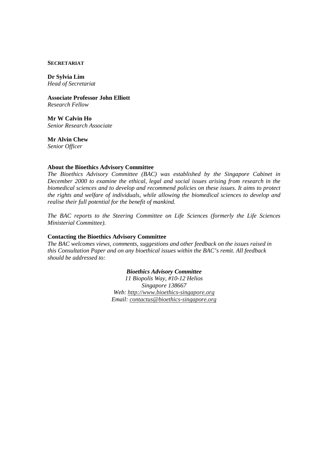#### **SECRETARIAT**

**Dr Sylvia Lim** *Head of Secretariat*

**Associate Professor John Elliott** *Research Fellow*

**Mr W Calvin Ho** *Senior Research Associate*

**Mr Alvin Chew**

*Senior Officer*

### **About the Bioethics Advisory Committee**

*The Bioethics Advisory Committee (BAC) was established by the Singapore Cabinet in December 2000 to examine the ethical, legal and social issues arising from research in the biomedical sciences and to develop and recommend policies on these issues. It aims to protect the rights and welfare of individuals, while allowing the biomedical sciences to develop and realise their full potential for the benefit of mankind.* 

*The BAC reports to the Steering Committee on Life Sciences (formerly the Life Sciences Ministerial Committee).*

#### **Contacting the Bioethics Advisory Committee**

*The BAC welcomes views, comments, suggestions and other feedback on the issues raised in this Consultation Paper and on any bioethical issues within the BAC's remit. All feedback should be addressed to:*

### *Bioethics Advisory Committee*

*11 Biopolis Way, #10-12 Helios Singapore 138667 Web: http://www.bioethics-singapore.org Email: contactus@bioethics-singapore.org*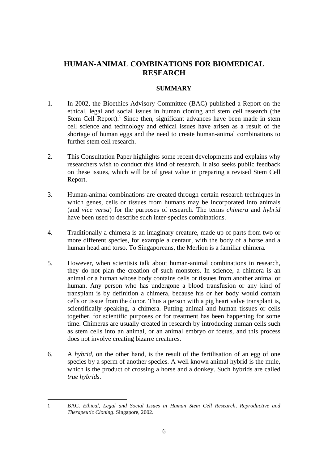# **HUMAN-ANIMAL COMBINATIONS FOR BIOMEDICAL RESEARCH**

# **SUMMARY**

- 1. In 2002, the Bioethics Advisory Committee (BAC) published a Report on the ethical, legal and social issues in human cloning and stem cell research (the Stem Cell Report). $1$  Since then, significant advances have been made in stem cell science and technology and ethical issues have arisen as a result of the shortage of human eggs and the need to create human-animal combinations to further stem cell research.
- 2. This Consultation Paper highlights some recent developments and explains why researchers wish to conduct this kind of research. It also seeks public feedback on these issues, which will be of great value in preparing a revised Stem Cell Report.
- 3. Human-animal combinations are created through certain research techniques in which genes, cells or tissues from humans may be incorporated into animals (and *vice versa*) for the purposes of research. The terms *chimera* and *hybrid* have been used to describe such inter-species combinations.
- 4. Traditionally a chimera is an imaginary creature, made up of parts from two or more different species, for example a centaur, with the body of a horse and a human head and torso. To Singaporeans, the Merlion is a familiar chimera.
- 5. However, when scientists talk about human-animal combinations in research, they do not plan the creation of such monsters. In science, a chimera is an animal or a human whose body contains cells or tissues from another animal or human. Any person who has undergone a blood transfusion or any kind of transplant is by definition a chimera, because his or her body would contain cells or tissue from the donor. Thus a person with a pig heart valve transplant is, scientifically speaking, a chimera. Putting animal and human tissues or cells together, for scientific purposes or for treatment has been happening for some time. Chimeras are usually created in research by introducing human cells such as stem cells into an animal, or an animal embryo or foetus, and this process does not involve creating bizarre creatures.
- 6. A *hybrid*, on the other hand, is the result of the fertilisation of an egg of one species by a sperm of another species. A well known animal hybrid is the mule, which is the product of crossing a horse and a donkey. Such hybrids are called *true hybrids*.

<sup>1</sup> BAC. *Ethical, Legal and Social Issues in Human Stem Cell Research, Reproductive and Therapeutic Cloning*. Singapore, 2002.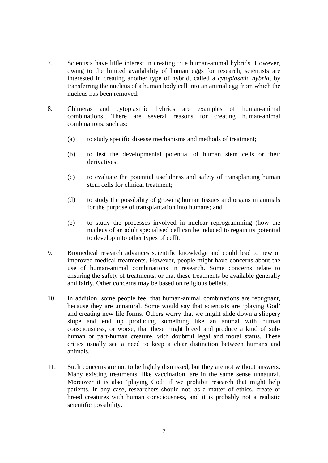- 7. Scientists have little interest in creating true human-animal hybrids. However, owing to the limited availability of human eggs for research, scientists are interested in creating another type of hybrid, called a *cytoplasmic hybrid*, by transferring the nucleus of a human body cell into an animal egg from which the nucleus has been removed.
- 8. Chimeras and cytoplasmic hybrids are examples of human-animal combinations. There are several reasons for creating human-animal combinations, such as:
	- (a) to study specific disease mechanisms and methods of treatment;
	- (b) to test the developmental potential of human stem cells or their derivatives;
	- (c) to evaluate the potential usefulness and safety of transplanting human stem cells for clinical treatment;
	- (d) to study the possibility of growing human tissues and organs in animals for the purpose of transplantation into humans; and
	- (e) to study the processes involved in nuclear reprogramming (how the nucleus of an adult specialised cell can be induced to regain its potential to develop into other types of cell).
- 9. Biomedical research advances scientific knowledge and could lead to new or improved medical treatments. However, people might have concerns about the use of human-animal combinations in research. Some concerns relate to ensuring the safety of treatments, or that these treatments be available generally and fairly. Other concerns may be based on religious beliefs.
- 10. In addition, some people feel that human-animal combinations are repugnant, because they are unnatural. Some would say that scientists are 'playing God' and creating new life forms. Others worry that we might slide down a slippery slope and end up producing something like an animal with human consciousness, or worse, that these might breed and produce a kind of subhuman or part-human creature, with doubtful legal and moral status. These critics usually see a need to keep a clear distinction between humans and animals.
- 11. Such concerns are not to be lightly dismissed, but they are not without answers. Many existing treatments, like vaccination, are in the same sense unnatural. Moreover it is also 'playing God' if we prohibit research that might help patients. In any case, researchers should not, as a matter of ethics, create or breed creatures with human consciousness, and it is probably not a realistic scientific possibility.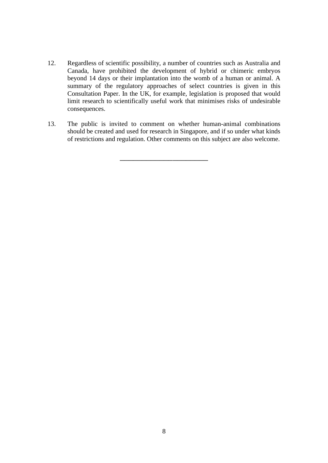- 12. Regardless of scientific possibility, a number of countries such as Australia and Canada, have prohibited the development of hybrid or chimeric embryos beyond 14 days or their implantation into the womb of a human or animal. A summary of the regulatory approaches of select countries is given in this Consultation Paper. In the UK, for example, legislation is proposed that would limit research to scientifically useful work that minimises risks of undesirable consequences.
- 13. The public is invited to comment on whether human-animal combinations should be created and used for research in Singapore, and if so under what kinds of restrictions and regulation. Other comments on this subject are also welcome.

\_\_\_\_\_\_\_\_\_\_\_\_\_\_\_\_\_\_\_\_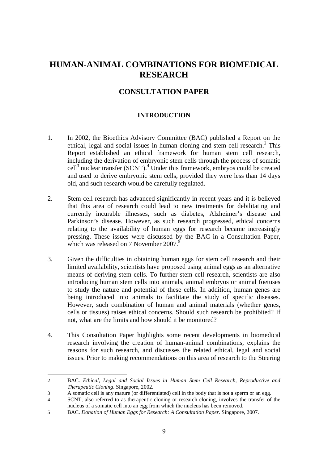# **HUMAN-ANIMAL COMBINATIONS FOR BIOMEDICAL RESEARCH**

# **CONSULTATION PAPER**

# **INTRODUCTION**

- 1. In 2002, the Bioethics Advisory Committee (BAC) published a Report on the ethical, legal and social issues in human cloning and stem cell research.<sup>2</sup> This Report established an ethical framework for human stem cell research, including the derivation of embryonic stem cells through the process of somatic cell<sup>3</sup> nuclear transfer (SCNT).<sup>4</sup> Under this framework, embryos could be created and used to derive embryonic stem cells, provided they were less than 14 days old, and such research would be carefully regulated.
- 2. Stem cell research has advanced significantly in recent years and it is believed that this area of research could lead to new treatments for debilitating and currently incurable illnesses, such as diabetes, Alzheimer's disease and Parkinson's disease. However, as such research progressed, ethical concerns relating to the availability of human eggs for research became increasingly pressing. These issues were discussed by the BAC in a Consultation Paper, which was released on 7 November 2007.<sup>5</sup>
- 3. Given the difficulties in obtaining human eggs for stem cell research and their limited availability, scientists have proposed using animal eggs as an alternative means of deriving stem cells. To further stem cell research, scientists are also introducing human stem cells into animals, animal embryos or animal foetuses to study the nature and potential of these cells. In addition, human genes are being introduced into animals to facilitate the study of specific diseases. However, such combination of human and animal materials (whether genes, cells or tissues) raises ethical concerns. Should such research be prohibited? If not, what are the limits and how should it be monitored?
- 4. This Consultation Paper highlights some recent developments in biomedical research involving the creation of human-animal combinations, explains the reasons for such research, and discusses the related ethical, legal and social issues. Prior to making recommendations on this area of research to the Steering

<sup>2</sup> BAC. *Ethical, Legal and Social Issues in Human Stem Cell Research, Reproductive and Therapeutic Cloning*. Singapore, 2002.

<sup>3</sup> A somatic cell is any mature (or differentiated) cell in the body that is not a sperm or an egg.

<sup>4</sup> SCNT, also referred to as therapeutic cloning or research cloning, involves the transfer of the nucleus of a somatic cell into an egg from which the nucleus has been removed.

<sup>5</sup> BAC. *Donation of Human Eggs for Research: A Consultation Paper*. Singapore, 2007.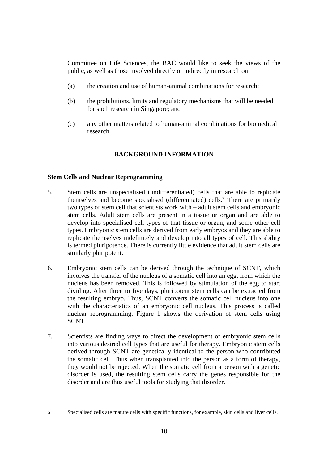Committee on Life Sciences, the BAC would like to seek the views of the public, as well as those involved directly or indirectly in research on:

- (a) the creation and use of human-animal combinations for research;
- (b) the prohibitions, limits and regulatory mechanisms that will be needed for such research in Singapore; and
- (c) any other matters related to human-animal combinations for biomedical research.

# **BACKGROUND INFORMATION**

# **Stem Cells and Nuclear Reprogramming**

- 5. Stem cells are unspecialised (undifferentiated) cells that are able to replicate themselves and become specialised (differentiated) cells.<sup>6</sup> There are primarily two types of stem cell that scientists work with – adult stem cells and embryonic stem cells. Adult stem cells are present in a tissue or organ and are able to develop into specialised cell types of that tissue or organ, and some other cell types. Embryonic stem cells are derived from early embryos and they are able to replicate themselves indefinitely and develop into all types of cell. This ability is termed pluripotence. There is currently little evidence that adult stem cells are similarly pluripotent.
- 6. Embryonic stem cells can be derived through the technique of SCNT, which involves the transfer of the nucleus of a somatic cell into an egg, from which the nucleus has been removed. This is followed by stimulation of the egg to start dividing. After three to five days, pluripotent stem cells can be extracted from the resulting embryo. Thus, SCNT converts the somatic cell nucleus into one with the characteristics of an embryonic cell nucleus. This process is called nuclear reprogramming. Figure 1 shows the derivation of stem cells using SCNT.
- 7. Scientists are finding ways to direct the development of embryonic stem cells into various desired cell types that are useful for therapy. Embryonic stem cells derived through SCNT are genetically identical to the person who contributed the somatic cell. Thus when transplanted into the person as a form of therapy, they would not be rejected. When the somatic cell from a person with a genetic disorder is used, the resulting stem cells carry the genes responsible for the disorder and are thus useful tools for studying that disorder.

 $\overline{a}$ 

<sup>6</sup> Specialised cells are mature cells with specific functions, for example, skin cells and liver cells.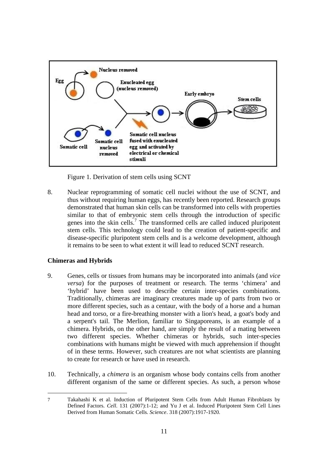

Figure 1. Derivation of stem cells using SCNT

8. Nuclear reprogramming of somatic cell nuclei without the use of SCNT, and thus without requiring human eggs, has recently been reported. Research groups demonstrated that human skin cells can be transformed into cells with properties similar to that of embryonic stem cells through the introduction of specific genes into the skin cells.<sup>7</sup> The transformed cells are called induced pluripotent stem cells. This technology could lead to the creation of patient-specific and disease-specific pluripotent stem cells and is a welcome development, although it remains to be seen to what extent it will lead to reduced SCNT research.

# **Chimeras and Hybrids**

- 9. Genes, cells or tissues from humans may be incorporated into animals (and *vice versa*) for the purposes of treatment or research. The terms 'chimera' and 'hybrid' have been used to describe certain inter-species combinations. Traditionally, chimeras are imaginary creatures made up of parts from two or more different species, such as a centaur, with the body of a horse and a human head and torso, or a fire-breathing monster with a lion's head, a goat's body and a serpent's tail. The Merlion, familiar to Singaporeans, is an example of a chimera. Hybrids, on the other hand, are simply the result of a mating between two different species. Whether chimeras or hybrids, such inter-species combinations with humans might be viewed with much apprehension if thought of in these terms. However, such creatures are not what scientists are planning to create for research or have used in research.
- 10. Technically, a *chimera* is an organism whose body contains cells from another different organism of the same or different species. As such, a person whose

<sup>7</sup> Takahashi K et al. Induction of Pluripotent Stem Cells from Adult Human Fibroblasts by Defined Factors. *Cell*. 131 (2007):1-12; and Yu J et al. Induced Pluripotent Stem Cell Lines Derived from Human Somatic Cells. *Science*. 318 (2007):1917-1920.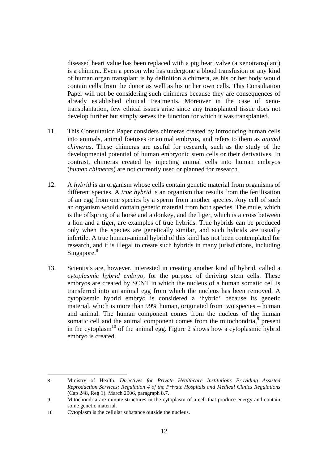diseased heart value has been replaced with a pig heart valve (a xenotransplant) is a chimera. Even a person who has undergone a blood transfusion or any kind of human organ transplant is by definition a chimera, as his or her body would contain cells from the donor as well as his or her own cells. This Consultation Paper will not be considering such chimeras because they are consequences of already established clinical treatments. Moreover in the case of xenotransplantation, few ethical issues arise since any transplanted tissue does not develop further but simply serves the function for which it was transplanted.

- 11. This Consultation Paper considers chimeras created by introducing human cells into animals, animal foetuses or animal embryos, and refers to them as *animal chimeras*. These chimeras are useful for research, such as the study of the developmental potential of human embryonic stem cells or their derivatives. In contrast, chimeras created by injecting animal cells into human embryos (*human chimeras*) are not currently used or planned for research.
- 12. A *hybrid* is an organism whose cells contain genetic material from organisms of different species. A *true hybrid* is an organism that results from the fertilisation of an egg from one species by a sperm from another species. Any cell of such an organism would contain genetic material from both species. The mule, which is the offspring of a horse and a donkey, and the liger, which is a cross between a lion and a tiger, are examples of true hybrids. True hybrids can be produced only when the species are genetically similar, and such hybrids are usually infertile. A true human-animal hybrid of this kind has not been contemplated for research, and it is illegal to create such hybrids in many jurisdictions, including Singapore.<sup>8</sup>
- 13. Scientists are, however, interested in creating another kind of hybrid, called a *cytoplasmic hybrid embryo*, for the purpose of deriving stem cells. These embryos are created by SCNT in which the nucleus of a human somatic cell is transferred into an animal egg from which the nucleus has been removed. A cytoplasmic hybrid embryo is considered a 'hybrid' because its genetic material, which is more than 99% human, originated from two species – human and animal. The human component comes from the nucleus of the human somatic cell and the animal component comes from the mitochondria, $9$  present in the cytoplasm<sup>10</sup> of the animal egg. Figure 2 shows how a cytoplasmic hybrid embryo is created.

 $\overline{a}$ 8 Ministry of Health. *Directives for Private Healthcare Institutions Providing Assisted Reproduction Services: Regulation 4 of the Private Hospitals and Medical Clinics Regulations* (Cap 248, Reg 1). March 2006, paragraph 8.7.

<sup>9</sup> Mitochondria are minute structures in the cytoplasm of a cell that produce energy and contain some genetic material.

<sup>10</sup> Cytoplasm is the cellular substance outside the nucleus.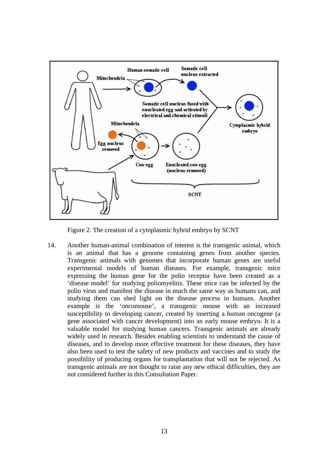

Figure 2. The creation of a cytoplasmic hybrid embryo by SCNT

14. Another human-animal combination of interest is the transgenic animal, which is an animal that has a genome containing genes from another species. Transgenic animals with genomes that incorporate human genes are useful experimental models of human diseases. For example, transgenic mice expressing the human gene for the polio receptor have been created as a 'disease model' for studying poliomyelitis. These mice can be infected by the polio virus and manifest the disease in much the same way as humans can, and studying them can shed light on the disease process in humans. Another example is the 'oncomouse', a transgenic mouse with an increased susceptibility to developing cancer, created by inserting a human oncogene (a gene associated with cancer development) into an early mouse embryo. It is a valuable model for studying human cancers. Transgenic animals are already widely used in research. Besides enabling scientists to understand the cause of diseases, and to develop more effective treatment for these diseases, they have also been used to test the safety of new products and vaccines and to study the possibility of producing organs for transplantation that will not be rejected. As transgenic animals are not thought to raise any new ethical difficulties, they are not considered further in this Consultation Paper.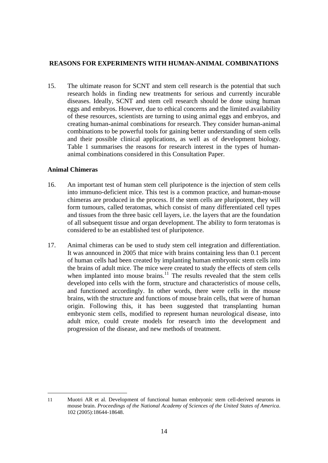# **REASONS FOR EXPERIMENTS WITH HUMAN-ANIMAL COMBINATIONS**

15. The ultimate reason for SCNT and stem cell research is the potential that such research holds in finding new treatments for serious and currently incurable diseases. Ideally, SCNT and stem cell research should be done using human eggs and embryos. However, due to ethical concerns and the limited availability of these resources, scientists are turning to using animal eggs and embryos, and creating human-animal combinations for research. They consider human-animal combinations to be powerful tools for gaining better understanding of stem cells and their possible clinical applications, as well as of development biology. Table 1 summarises the reasons for research interest in the types of humananimal combinations considered in this Consultation Paper.

### **Animal Chimeras**

- 16. An important test of human stem cell pluripotence is the injection of stem cells into immuno-deficient mice. This test is a common practice, and human-mouse chimeras are produced in the process. If the stem cells are pluripotent, they will form tumours, called teratomas, which consist of many differentiated cell types and tissues from the three basic cell layers, i.e. the layers that are the foundation of all subsequent tissue and organ development. The ability to form teratomas is considered to be an established test of pluripotence.
- 17. Animal chimeras can be used to study stem cell integration and differentiation. It was announced in 2005 that mice with brains containing less than 0.1 percent of human cells had been created by implanting human embryonic stem cells into the brains of adult mice. The mice were created to study the effects of stem cells when implanted into mouse brains. $11$  The results revealed that the stem cells developed into cells with the form, structure and characteristics of mouse cells, and functioned accordingly. In other words, there were cells in the mouse brains, with the structure and functions of mouse brain cells, that were of human origin. Following this, it has been suggested that transplanting human embryonic stem cells, modified to represent human neurological disease, into adult mice, could create models for research into the development and progression of the disease, and new methods of treatment.

<sup>11</sup> Muotri AR et al. Development of functional human embryonic stem cell-derived neurons in mouse brain. *Proceedings of the National Academy of Sciences of the United States of America*. 102 (2005):18644-18648.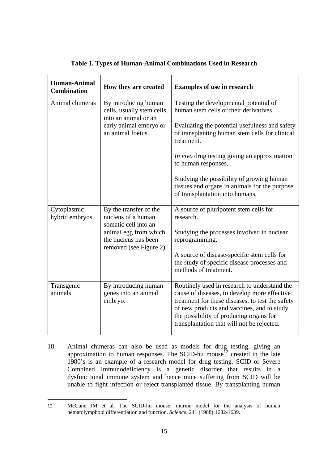| <b>Human-Animal</b><br><b>Combination</b> | How they are created                                                                                                                             | <b>Examples of use in research</b>                                                                                                                                                                                                                                                                                                                                                                         |
|-------------------------------------------|--------------------------------------------------------------------------------------------------------------------------------------------------|------------------------------------------------------------------------------------------------------------------------------------------------------------------------------------------------------------------------------------------------------------------------------------------------------------------------------------------------------------------------------------------------------------|
| Animal chimeras                           | By introducing human<br>cells, usually stem cells,<br>into an animal or an<br>early animal embryo or<br>an animal foetus.                        | Testing the developmental potential of<br>human stem cells or their derivatives.<br>Evaluating the potential usefulness and safety<br>of transplanting human stem cells for clinical<br>treatment.<br>In vivo drug testing giving an approximation<br>to human responses.<br>Studying the possibility of growing human<br>tissues and organs in animals for the purpose<br>of transplantation into humans. |
| Cytoplasmic<br>hybrid embryos             | By the transfer of the<br>nucleus of a human<br>somatic cell into an<br>animal egg from which<br>the nucleus has been<br>removed (see Figure 2). | A source of pluripotent stem cells for<br>research.<br>Studying the processes involved in nuclear<br>reprogramming.<br>A source of disease-specific stem cells for<br>the study of specific disease processes and<br>methods of treatment.                                                                                                                                                                 |
| Transgenic<br>animals                     | By introducing human<br>genes into an animal<br>embryo.                                                                                          | Routinely used in research to understand the<br>cause of diseases, to develop more effective<br>treatment for these diseases, to test the safety<br>of new products and vaccines, and to study<br>the possibility of producing organs for<br>transplantation that will not be rejected.                                                                                                                    |

# **Table 1. Types of Human-Animal Combinations Used in Research**

18. Animal chimeras can also be used as models for drug testing, giving an approximation to human responses. The SCID-hu mouse $12^2$  created in the late 1980's is an example of a research model for drug testing. SCID or Severe Combined Immunodeficiency is a genetic disorder that results in a dysfunctional immune system and hence mice suffering from SCID will be unable to fight infection or reject transplanted tissue. By transplanting human

<sup>12</sup> McCune JM et al. The SCID-hu mouse: murine model for the analysis of human hematolymphoid differentiation and function. *Science*. 241 (1988):1632-1639.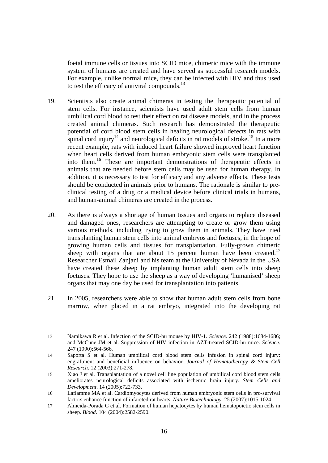foetal immune cells or tissues into SCID mice, chimeric mice with the immune system of humans are created and have served as successful research models. For example, unlike normal mice, they can be infected with HIV and thus used to test the efficacy of antiviral compounds.<sup>13</sup>

- 19. Scientists also create animal chimeras in testing the therapeutic potential of stem cells. For instance, scientists have used adult stem cells from human umbilical cord blood to test their effect on rat disease models, and in the process created animal chimeras. Such research has demonstrated the therapeutic potential of cord blood stem cells in healing neurological defects in rats with spinal cord injury<sup>14</sup> and neurological deficits in rat models of stroke.<sup>15</sup> In a more recent example, rats with induced heart failure showed improved heart function when heart cells derived from human embryonic stem cells were transplanted into them.16 These are important demonstrations of therapeutic effects in animals that are needed before stem cells may be used for human therapy. In addition, it is necessary to test for efficacy and any adverse effects. These tests should be conducted in animals prior to humans. The rationale is similar to preclinical testing of a drug or a medical device before clinical trials in humans, and human-animal chimeras are created in the process.
- 20. As there is always a shortage of human tissues and organs to replace diseased and damaged ones, researchers are attempting to create or grow them using various methods, including trying to grow them in animals. They have tried transplanting human stem cells into animal embryos and foetuses, in the hope of growing human cells and tissues for transplantation. Fully-grown chimeric sheep with organs that are about 15 percent human have been created.<sup>17</sup> Researcher Esmail Zanjani and his team at the University of Nevada in the USA have created these sheep by implanting human adult stem cells into sheep foetuses. They hope to use the sheep as a way of developing 'humanised' sheep organs that may one day be used for transplantation into patients.
- 21. In 2005, researchers were able to show that human adult stem cells from bone marrow, when placed in a rat embryo, integrated into the developing rat

 $\overline{a}$ 13 Namikawa R et al. Infection of the SCID-hu mouse by HIV-1. *Science*. 242 (1988):1684-1686; and McCune JM et al. Suppression of HIV infection in AZT-treated SCID-hu mice. *Science*. 247 (1990):564-566.

<sup>14</sup> Saporta S et al. Human umbilical cord blood stem cells infusion in spinal cord injury: engraftment and beneficial influence on behavior. *Journal of Hematotherapy & Stem Cell Research*. 12 (2003):271-278.

<sup>15</sup> Xiao J et al. Transplantation of a novel cell line population of umbilical cord blood stem cells ameliorates neurological deficits associated with ischemic brain injury. *Stem Cells and Development*. 14 (2005):722-733.

<sup>16</sup> Laflamme MA et al. Cardiomyocytes derived from human embryonic stem cells in pro-survival factors enhance function of infarcted rat hearts. *Nature Biotechnology*. 25 (2007):1015-1024.

<sup>17</sup> Almeida-Porada G et al. Formation of human hepatocytes by human hematopoietic stem cells in sheep. *Blood*. 104 (2004):2582-2590.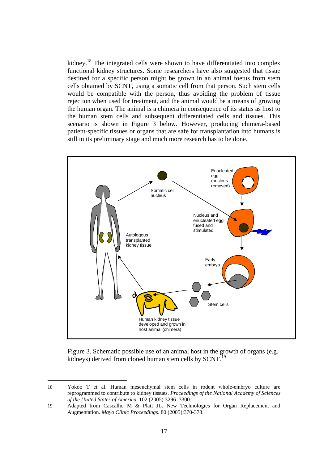kidney.<sup>18</sup> The integrated cells were shown to have differentiated into complex functional kidney structures. Some researchers have also suggested that tissue destined for a specific person might be grown in an animal foetus from stem cells obtained by SCNT, using a somatic cell from that person. Such stem cells would be compatible with the person, thus avoiding the problem of tissue rejection when used for treatment, and the animal would be a means of growing the human organ. The animal is a chimera in consequence of its status as host to the human stem cells and subsequent differentiated cells and tissues. This scenario is shown in Figure 3 below. However, producing chimera-based patient-specific tissues or organs that are safe for transplantation into humans is still in its preliminary stage and much more research has to be done.



Figure 3. Schematic possible use of an animal host in the growth of organs (e.g. kidneys) derived from cloned human stem cells by SCNT.<sup>19</sup>

<sup>18</sup> Yokoo T et al. Human mesenchymal stem cells in rodent whole-embryo culture are reprogrammed to contribute to kidney tissues. *Proceedings of the National Academy of Sciences of the United States of America*. 102 (2005):3296–3300.

<sup>19</sup> Adapted from Cascalho M & Platt JL. New Technologies for Organ Replacement and Augmentation. *Mayo Clinic Proceedings*. 80 (2005):370-378.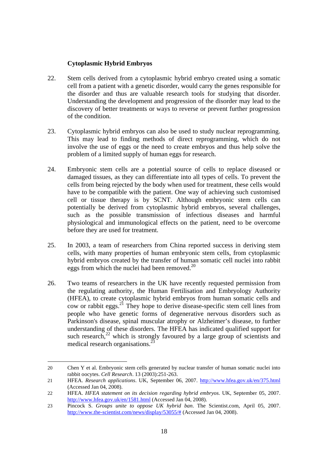# **Cytoplasmic Hybrid Embryos**

- 22. Stem cells derived from a cytoplasmic hybrid embryo created using a somatic cell from a patient with a genetic disorder, would carry the genes responsible for the disorder and thus are valuable research tools for studying that disorder. Understanding the development and progression of the disorder may lead to the discovery of better treatments or ways to reverse or prevent further progression of the condition.
- 23. Cytoplasmic hybrid embryos can also be used to study nuclear reprogramming. This may lead to finding methods of direct reprogramming, which do not involve the use of eggs or the need to create embryos and thus help solve the problem of a limited supply of human eggs for research.
- 24. Embryonic stem cells are a potential source of cells to replace diseased or damaged tissues, as they can differentiate into all types of cells. To prevent the cells from being rejected by the body when used for treatment, these cells would have to be compatible with the patient. One way of achieving such customised cell or tissue therapy is by SCNT. Although embryonic stem cells can potentially be derived from cytoplasmic hybrid embryos, several challenges, such as the possible transmission of infectious diseases and harmful physiological and immunological effects on the patient, need to be overcome before they are used for treatment.
- 25. In 2003, a team of researchers from China reported success in deriving stem cells, with many properties of human embryonic stem cells, from cytoplasmic hybrid embryos created by the transfer of human somatic cell nuclei into rabbit eggs from which the nuclei had been removed.<sup>20</sup>
- 26. Two teams of researchers in the UK have recently requested permission from the regulating authority, the Human Fertilisation and Embryology Authority (HFEA), to create cytoplasmic hybrid embryos from human somatic cells and cow or rabbit eggs.<sup>21</sup> They hope to derive disease-specific stem cell lines from people who have genetic forms of degenerative nervous disorders such as Parkinson's disease, spinal muscular atrophy or Alzheimer's disease, to further understanding of these disorders. The HFEA has indicated qualified support for such research, $2^2$  which is strongly favoured by a large group of scientists and medical research organisations.<sup>2</sup>

<sup>20</sup> Chen Y et al. Embryonic stem cells generated by nuclear transfer of human somatic nuclei into rabbit oocytes. *Cell Research*. 13 (2003):251-263.

<sup>21</sup> HFEA. *Research applications*. UK, September 06, 2007. http://www.hfea.gov.uk/en/375.html (Accessed Jan 04, 2008).

<sup>22</sup> HFEA. *HFEA statement on its decision regarding hybrid embryos*. UK, September 05, 2007. http://www.hfea.gov.uk/en/1581.html (Accessed Jan 04, 2008).

<sup>23</sup> Pincock S. *Groups unite to oppose UK hybrid ban*. The Scientist.com, April 05, 2007. http://www.the-scientist.com/news/display/53055/# (Accessed Jan 04, 2008).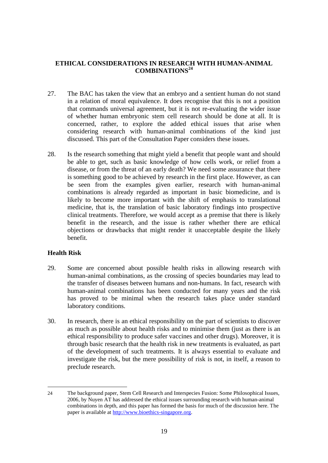# **ETHICAL CONSIDERATIONS IN RESEARCH WITH HUMAN-ANIMAL COMBINATIONS<sup>24</sup>**

- 27. The BAC has taken the view that an embryo and a sentient human do not stand in a relation of moral equivalence. It does recognise that this is not a position that commands universal agreement, but it is not re-evaluating the wider issue of whether human embryonic stem cell research should be done at all. It is concerned, rather, to explore the added ethical issues that arise when considering research with human-animal combinations of the kind just discussed. This part of the Consultation Paper considers these issues.
- 28. Is the research something that might yield a benefit that people want and should be able to get, such as basic knowledge of how cells work, or relief from a disease, or from the threat of an early death? We need some assurance that there is something good to be achieved by research in the first place. However, as can be seen from the examples given earlier, research with human-animal combinations is already regarded as important in basic biomedicine, and is likely to become more important with the shift of emphasis to translational medicine, that is, the translation of basic laboratory findings into prospective clinical treatments. Therefore, we would accept as a premise that there is likely benefit in the research, and the issue is rather whether there are ethical objections or drawbacks that might render it unacceptable despite the likely benefit.

### **Health Risk**

- 29. Some are concerned about possible health risks in allowing research with human-animal combinations, as the crossing of species boundaries may lead to the transfer of diseases between humans and non-humans. In fact, research with human-animal combinations has been conducted for many years and the risk has proved to be minimal when the research takes place under standard laboratory conditions.
- 30. In research, there is an ethical responsibility on the part of scientists to discover as much as possible about health risks and to minimise them (just as there is an ethical responsibility to produce safer vaccines and other drugs). Moreover, it is through basic research that the health risk in new treatments is evaluated, as part of the development of such treatments. It is always essential to evaluate and investigate the risk, but the mere possibility of risk is not, in itself, a reason to preclude research.

<sup>24</sup> The background paper, Stem Cell Research and Interspecies Fusion: Some Philosophical Issues, 2006, by Nuyen AT has addressed the ethical issues surrounding research with human-animal combinations in depth, and this paper has formed the basis for much of the discussion here. The paper is available at http://www.bioethics-singapore.org.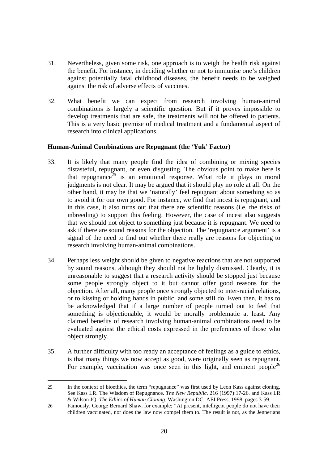- 31. Nevertheless, given some risk, one approach is to weigh the health risk against the benefit. For instance, in deciding whether or not to immunise one's children against potentially fatal childhood diseases, the benefit needs to be weighed against the risk of adverse effects of vaccines.
- 32. What benefit we can expect from research involving human-animal combinations is largely a scientific question. But if it proves impossible to develop treatments that are safe, the treatments will not be offered to patients. This is a very basic premise of medical treatment and a fundamental aspect of research into clinical applications.

# **Human-Animal Combinations are Repugnant (the 'Yuk' Factor)**

- 33. It is likely that many people find the idea of combining or mixing species distasteful, repugnant, or even disgusting. The obvious point to make here is that repugnance<sup>25</sup> is an emotional response. What role it plays in moral judgments is not clear. It may be argued that it should play no role at all. On the other hand, it may be that we 'naturally' feel repugnant about something so as to avoid it for our own good. For instance, we find that incest is repugnant, and in this case, it also turns out that there are scientific reasons (i.e. the risks of inbreeding) to support this feeling. However, the case of incest also suggests that we should not object to something just because it is repugnant. We need to ask if there are sound reasons for the objection. The 'repugnance argument' is a signal of the need to find out whether there really are reasons for objecting to research involving human-animal combinations.
- 34. Perhaps less weight should be given to negative reactions that are not supported by sound reasons, although they should not be lightly dismissed. Clearly, it is unreasonable to suggest that a research activity should be stopped just because some people strongly object to it but cannot offer good reasons for the objection. After all, many people once strongly objected to inter-racial relations, or to kissing or holding hands in public, and some still do. Even then, it has to be acknowledged that if a large number of people turned out to feel that something is objectionable, it would be morally problematic at least. Any claimed benefits of research involving human-animal combinations need to be evaluated against the ethical costs expressed in the preferences of those who object strongly.
- 35. A further difficulty with too ready an acceptance of feelings as a guide to ethics, is that many things we now accept as good, were originally seen as repugnant. For example, vaccination was once seen in this light, and eminent people<sup>26</sup>

<sup>25</sup> In the context of bioethics, the term "repugnance" was first used by Leon Kass against cloning. See Kass LR. The Wisdom of Repugnance. *The New Republic*. 216 (1997):17-26. and Kass LR & Wilson JQ. *The Ethics of Human Cloning*. Washington DC: AEI Press, 1998, pages 3-59.

<sup>26</sup> Famously, George Bernard Shaw, for example; "At present, intelligent people do not have their children vaccinated, nor does the law now compel them to. The result is not, as the Jennerians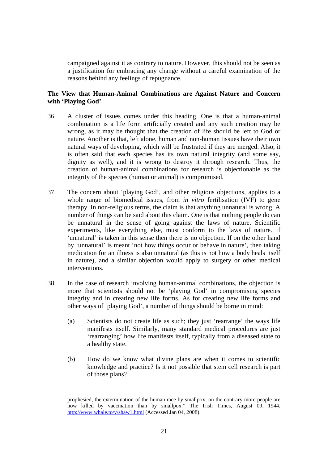campaigned against it as contrary to nature. However, this should not be seen as a justification for embracing any change without a careful examination of the reasons behind any feelings of repugnance.

# **The View that Human-Animal Combinations are Against Nature and Concern with 'Playing God'**

- 36. A cluster of issues comes under this heading. One is that a human-animal combination is a life form artificially created and any such creation may be wrong, as it may be thought that the creation of life should be left to God or nature. Another is that, left alone, human and non-human tissues have their own natural ways of developing, which will be frustrated if they are merged. Also, it is often said that each species has its own natural integrity (and some say, dignity as well), and it is wrong to destroy it through research. Thus, the creation of human-animal combinations for research is objectionable as the integrity of the species (human or animal) is compromised.
- 37. The concern about 'playing God', and other religious objections, applies to a whole range of biomedical issues, from *in vitro* fertilisation (IVF) to gene therapy. In non-religious terms, the claim is that anything unnatural is wrong. A number of things can be said about this claim. One is that nothing people do can be unnatural in the sense of going against the laws of nature. Scientific experiments, like everything else, must conform to the laws of nature. If 'unnatural' is taken in this sense then there is no objection. If on the other hand by 'unnatural' is meant 'not how things occur or behave in nature', then taking medication for an illness is also unnatural (as this is not how a body heals itself in nature), and a similar objection would apply to surgery or other medical interventions.
- 38. In the case of research involving human-animal combinations, the objection is more that scientists should not be 'playing God' in compromising species integrity and in creating new life forms. As for creating new life forms and other ways of 'playing God', a number of things should be borne in mind:
	- (a) Scientists do not create life as such; they just 'rearrange' the ways life manifests itself. Similarly, many standard medical procedures are just 'rearranging' how life manifests itself, typically from a diseased state to a healthy state.
	- (b) How do we know what divine plans are when it comes to scientific knowledge and practice? Is it not possible that stem cell research is part of those plans?

prophesied, the extermination of the human race by smallpox; on the contrary more people are now killed by vaccination than by smallpox." The Irish Times, August 09, 1944. http://www.whale.to/v/shaw1.html (Accessed Jan 04, 2008).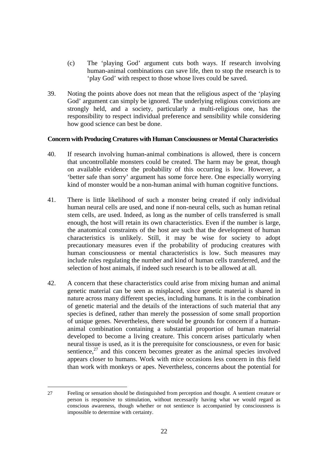- (c) The 'playing God' argument cuts both ways. If research involving human-animal combinations can save life, then to stop the research is to 'play God' with respect to those whose lives could be saved.
- 39. Noting the points above does not mean that the religious aspect of the 'playing God' argument can simply be ignored. The underlying religious convictions are strongly held, and a society, particularly a multi-religious one, has the responsibility to respect individual preference and sensibility while considering how good science can best be done.

### **Concern with Producing Creatures with Human Consciousness or Mental Characteristics**

- 40. If research involving human-animal combinations is allowed, there is concern that uncontrollable monsters could be created. The harm may be great, though on available evidence the probability of this occurring is low. However, a 'better safe than sorry' argument has some force here. One especially worrying kind of monster would be a non-human animal with human cognitive functions.
- 41. There is little likelihood of such a monster being created if only individual human neural cells are used, and none if non-neural cells, such as human retinal stem cells, are used. Indeed, as long as the number of cells transferred is small enough, the host will retain its own characteristics. Even if the number is large, the anatomical constraints of the host are such that the development of human characteristics is unlikely. Still, it may be wise for society to adopt precautionary measures even if the probability of producing creatures with human consciousness or mental characteristics is low. Such measures may include rules regulating the number and kind of human cells transferred, and the selection of host animals, if indeed such research is to be allowed at all.
- 42. A concern that these characteristics could arise from mixing human and animal genetic material can be seen as misplaced, since genetic material is shared in nature across many different species, including humans. It is in the combination of genetic material and the details of the interactions of such material that any species is defined, rather than merely the possession of some small proportion of unique genes. Nevertheless, there would be grounds for concern if a humananimal combination containing a substantial proportion of human material developed to become a living creature. This concern arises particularly when neural tissue is used, as it is the prerequisite for consciousness, or even for basic sentience, $27$  and this concern becomes greater as the animal species involved appears closer to humans. Work with mice occasions less concern in this field than work with monkeys or apes. Nevertheless, concerns about the potential for

 $\overline{a}$ 27 Feeling or sensation should be distinguished from perception and thought. A sentient creature or person is responsive to stimulation, without necessarily having what we would regard as conscious awareness, though whether or not sentience is accompanied by consciousness is impossible to determine with certainty.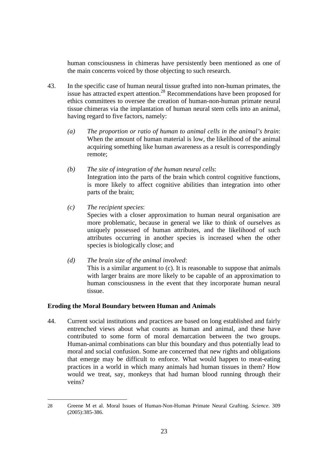human consciousness in chimeras have persistently been mentioned as one of the main concerns voiced by those objecting to such research.

- 43. In the specific case of human neural tissue grafted into non-human primates, the issue has attracted expert attention.<sup>28</sup> Recommendations have been proposed for ethics committees to oversee the creation of human-non-human primate neural tissue chimeras via the implantation of human neural stem cells into an animal, having regard to five factors, namely:
	- *(a) The proportion or ratio of human to animal cells in the animal's brain*: When the amount of human material is low, the likelihood of the animal acquiring something like human awareness as a result is correspondingly remote;
	- *(b) The site of integration of the human neural cells*: Integration into the parts of the brain which control cognitive functions, is more likely to affect cognitive abilities than integration into other parts of the brain;
	- *(c) The recipient species*:

 $\overline{a}$ 

Species with a closer approximation to human neural organisation are more problematic, because in general we like to think of ourselves as uniquely possessed of human attributes, and the likelihood of such attributes occurring in another species is increased when the other species is biologically close; and

*(d) The brain size of the animal involved*: This is a similar argument to (c). It is reasonable to suppose that animals with larger brains are more likely to be capable of an approximation to human consciousness in the event that they incorporate human neural tissue.

# **Eroding the Moral Boundary between Human and Animals**

44. Current social institutions and practices are based on long established and fairly entrenched views about what counts as human and animal, and these have contributed to some form of moral demarcation between the two groups. Human-animal combinations can blur this boundary and thus potentially lead to moral and social confusion. Some are concerned that new rights and obligations that emerge may be difficult to enforce. What would happen to meat-eating practices in a world in which many animals had human tissues in them? How would we treat, say, monkeys that had human blood running through their veins?

<sup>28</sup> Greene M et al. Moral Issues of Human-Non-Human Primate Neural Grafting. *Science*. 309 (2005):385-386.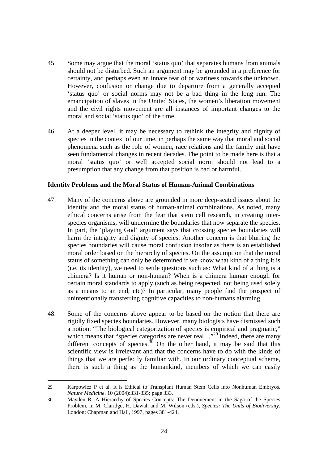- 45. Some may argue that the moral 'status quo' that separates humans from animals should not be disturbed. Such an argument may be grounded in a preference for certainty, and perhaps even an innate fear of or wariness towards the unknown. However, confusion or change due to departure from a generally accepted 'status quo' or social norms may not be a bad thing in the long run. The emancipation of slaves in the United States, the women's liberation movement and the civil rights movement are all instances of important changes to the moral and social 'status quo' of the time.
- 46. At a deeper level, it may be necessary to rethink the integrity and dignity of species in the context of our time, in perhaps the same way that moral and social phenomena such as the role of women, race relations and the family unit have seen fundamental changes in recent decades. The point to be made here is that a moral 'status quo' or well accepted social norm should not lead to a presumption that any change from that position is bad or harmful.

### **Identity Problems and the Moral Status of Human-Animal Combinations**

- 47. Many of the concerns above are grounded in more deep-seated issues about the identity and the moral status of human-animal combinations. As noted, many ethical concerns arise from the fear that stem cell research, in creating interspecies organisms, will undermine the boundaries that now separate the species. In part, the 'playing God' argument says that crossing species boundaries will harm the integrity and dignity of species. Another concern is that blurring the species boundaries will cause moral confusion insofar as there is an established moral order based on the hierarchy of species. On the assumption that the moral status of something can only be determined if we know what kind of a thing it is (i.e. its identity), we need to settle questions such as: What kind of a thing is a chimera? Is it human or non-human? When is a chimera human enough for certain moral standards to apply (such as being respected, not being used solely as a means to an end, etc)? In particular, many people find the prospect of unintentionally transferring cognitive capacities to non-humans alarming.
- 48. Some of the concerns above appear to be based on the notion that there are rigidly fixed species boundaries. However, many biologists have dismissed such a notion: "The biological categorization of species is empirical and pragmatic," which means that "species categories are never real..."<sup>29</sup> Indeed, there are many different concepts of species.<sup>30</sup> On the other hand, it may be said that this scientific view is irrelevant and that the concerns have to do with the kinds of things that we are perfectly familiar with. In our ordinary conceptual scheme, there is such a thing as the humankind, members of which we can easily

<sup>29</sup> Karpowicz P et al. It is Ethical to Transplant Human Stem Cells into Nonhuman Embryos. *Nature Medicine*. 10 (2004):331-335; page 333.

<sup>30</sup> Mayden R. A Hierarchy of Species Concepts: The Denouement in the Saga of the Species Problem, in M. Claridge, H. Dawah and M. Wilson (eds.), *Species: The Units of Biodiversity*. London: Chapman and Hall, 1997, pages 381-424.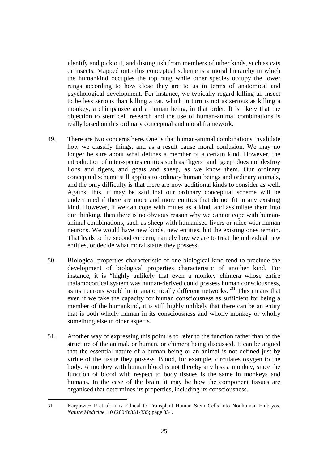identify and pick out, and distinguish from members of other kinds, such as cats or insects. Mapped onto this conceptual scheme is a moral hierarchy in which the humankind occupies the top rung while other species occupy the lower rungs according to how close they are to us in terms of anatomical and psychological development. For instance, we typically regard killing an insect to be less serious than killing a cat, which in turn is not as serious as killing a monkey, a chimpanzee and a human being, in that order. It is likely that the objection to stem cell research and the use of human-animal combinations is really based on this ordinary conceptual and moral framework.

- 49. There are two concerns here. One is that human-animal combinations invalidate how we classify things, and as a result cause moral confusion. We may no longer be sure about what defines a member of a certain kind. However, the introduction of inter-species entities such as 'ligers' and 'geep' does not destroy lions and tigers, and goats and sheep, as we know them. Our ordinary conceptual scheme still applies to ordinary human beings and ordinary animals, and the only difficulty is that there are now additional kinds to consider as well. Against this, it may be said that our ordinary conceptual scheme will be undermined if there are more and more entities that do not fit in any existing kind. However, if we can cope with mules as a kind, and assimilate them into our thinking, then there is no obvious reason why we cannot cope with humananimal combinations, such as sheep with humanised livers or mice with human neurons. We would have new kinds, new entities, but the existing ones remain. That leads to the second concern, namely how we are to treat the individual new entities, or decide what moral status they possess.
- 50. Biological properties characteristic of one biological kind tend to preclude the development of biological properties characteristic of another kind. For instance, it is "highly unlikely that even a monkey chimera whose entire thalamocortical system was human-derived could possess human consciousness, as its neurons would lie in anatomically different networks."31 This means that even if we take the capacity for human consciousness as sufficient for being a member of the humankind, it is still highly unlikely that there can be an entity that is both wholly human in its consciousness and wholly monkey or wholly something else in other aspects.
- 51. Another way of expressing this point is to refer to the function rather than to the structure of the animal, or human, or chimera being discussed. It can be argued that the essential nature of a human being or an animal is not defined just by virtue of the tissue they possess. Blood, for example, circulates oxygen to the body. A monkey with human blood is not thereby any less a monkey, since the function of blood with respect to body tissues is the same in monkeys and humans. In the case of the brain, it may be how the component tissues are organised that determines its properties, including its consciousness.

<sup>31</sup> Karpowicz P et al. It is Ethical to Transplant Human Stem Cells into Nonhuman Embryos. *Nature Medicine*. 10 (2004):331-335; page 334.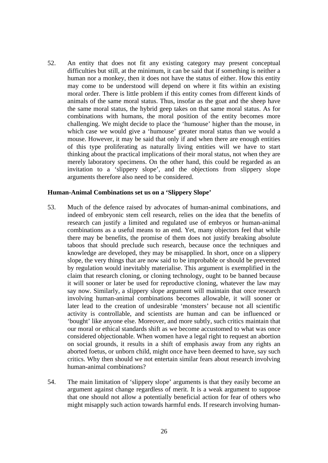52. An entity that does not fit any existing category may present conceptual difficulties but still, at the minimum, it can be said that if something is neither a human nor a monkey, then it does not have the status of either. How this entity may come to be understood will depend on where it fits within an existing moral order. There is little problem if this entity comes from different kinds of animals of the same moral status. Thus, insofar as the goat and the sheep have the same moral status, the hybrid geep takes on that same moral status. As for combinations with humans, the moral position of the entity becomes more challenging. We might decide to place the 'humouse' higher than the mouse, in which case we would give a 'humouse' greater moral status than we would a mouse. However, it may be said that only if and when there are enough entities of this type proliferating as naturally living entities will we have to start thinking about the practical implications of their moral status, not when they are merely laboratory specimens. On the other hand, this could be regarded as an invitation to a 'slippery slope', and the objections from slippery slope arguments therefore also need to be considered.

### **Human-Animal Combinations set us on a 'Slippery Slope'**

- 53. Much of the defence raised by advocates of human-animal combinations, and indeed of embryonic stem cell research, relies on the idea that the benefits of research can justify a limited and regulated use of embryos or human-animal combinations as a useful means to an end. Yet, many objectors feel that while there may be benefits, the promise of them does not justify breaking absolute taboos that should preclude such research, because once the techniques and knowledge are developed, they may be misapplied. In short, once on a slippery slope, the very things that are now said to be improbable or should be prevented by regulation would inevitably materialise. This argument is exemplified in the claim that research cloning, or cloning technology, ought to be banned because it will sooner or later be used for reproductive cloning, whatever the law may say now. Similarly, a slippery slope argument will maintain that once research involving human-animal combinations becomes allowable, it will sooner or later lead to the creation of undesirable 'monsters' because not all scientific activity is controllable, and scientists are human and can be influenced or 'bought' like anyone else. Moreover, and more subtly, such critics maintain that our moral or ethical standards shift as we become accustomed to what was once considered objectionable. When women have a legal right to request an abortion on social grounds, it results in a shift of emphasis away from any rights an aborted foetus, or unborn child, might once have been deemed to have, say such critics. Why then should we not entertain similar fears about research involving human-animal combinations?
- 54. The main limitation of 'slippery slope' arguments is that they easily become an argument against change regardless of merit. It is a weak argument to suppose that one should not allow a potentially beneficial action for fear of others who might misapply such action towards harmful ends. If research involving human-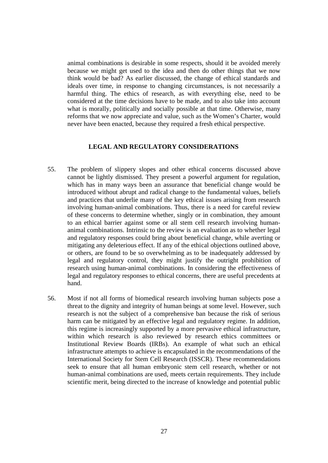animal combinations is desirable in some respects, should it be avoided merely because we might get used to the idea and then do other things that we now think would be bad? As earlier discussed, the change of ethical standards and ideals over time, in response to changing circumstances, is not necessarily a harmful thing. The ethics of research, as with everything else, need to be considered at the time decisions have to be made, and to also take into account what is morally, politically and socially possible at that time. Otherwise, many reforms that we now appreciate and value, such as the Women's Charter, would never have been enacted, because they required a fresh ethical perspective.

### **LEGAL AND REGULATORY CONSIDERATIONS**

- 55. The problem of slippery slopes and other ethical concerns discussed above cannot be lightly dismissed. They present a powerful argument for regulation, which has in many ways been an assurance that beneficial change would be introduced without abrupt and radical change to the fundamental values, beliefs and practices that underlie many of the key ethical issues arising from research involving human-animal combinations. Thus, there is a need for careful review of these concerns to determine whether, singly or in combination, they amount to an ethical barrier against some or all stem cell research involving humananimal combinations. Intrinsic to the review is an evaluation as to whether legal and regulatory responses could bring about beneficial change, while averting or mitigating any deleterious effect. If any of the ethical objections outlined above, or others, are found to be so overwhelming as to be inadequately addressed by legal and regulatory control, they might justify the outright prohibition of research using human-animal combinations. In considering the effectiveness of legal and regulatory responses to ethical concerns, there are useful precedents at hand.
- 56. Most if not all forms of biomedical research involving human subjects pose a threat to the dignity and integrity of human beings at some level. However, such research is not the subject of a comprehensive ban because the risk of serious harm can be mitigated by an effective legal and regulatory regime. In addition, this regime is increasingly supported by a more pervasive ethical infrastructure, within which research is also reviewed by research ethics committees or Institutional Review Boards (IRBs). An example of what such an ethical infrastructure attempts to achieve is encapsulated in the recommendations of the International Society for Stem Cell Research (ISSCR). These recommendations seek to ensure that all human embryonic stem cell research, whether or not human-animal combinations are used, meets certain requirements. They include scientific merit, being directed to the increase of knowledge and potential public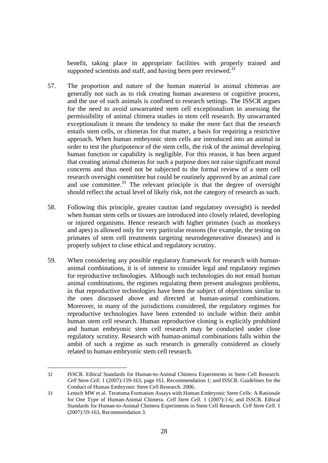benefit, taking place in appropriate facilities with properly trained and supported scientists and staff, and having been peer reviewed. $32$ 

- 57. The proportion and nature of the human material in animal chimeras are generally not such as to risk creating human awareness or cognitive process, and the use of such animals is confined to research settings. The ISSCR argues for the need to avoid unwarranted stem cell exceptionalism in assessing the permissibility of animal chimera studies in stem cell research. By unwarranted exceptionalism it means the tendency to make the mere fact that the research entails stem cells, or chimeras for that matter, a basis for requiring a restrictive approach. When human embryonic stem cells are introduced into an animal in order to test the pluripotence of the stem cells, the risk of the animal developing human function or capability is negligible. For this reason, it has been argued that creating animal chimeras for such a purpose does not raise significant moral concerns and thus need not be subjected to the formal review of a stem cell research oversight committee but could be routinely approved by an animal care and use committee. $33$  The relevant principle is that the degree of oversight should reflect the actual level of likely risk, not the category of research as such.
- 58. Following this principle, greater caution (and regulatory oversight) is needed when human stem cells or tissues are introduced into closely related, developing or injured organisms. Hence research with higher primates (such as monkeys and apes) is allowed only for very particular reasons (for example, the testing on primates of stem cell treatments targeting neurodegenerative diseases) and is properly subject to close ethical and regulatory scrutiny.
- 59. When considering any possible regulatory framework for research with humananimal combinations, it is of interest to consider legal and regulatory regimes for reproductive technologies. Although such technologies do not entail human animal combinations, the regimes regulating them present analogous problems, in that reproductive technologies have been the subject of objections similar to the ones discussed above and directed at human-animal combinations. Moreover, in many of the jurisdictions considered, the regulatory regimes for reproductive technologies have been extended to include within their ambit human stem cell research. Human reproductive cloning is explicitly prohibited and human embryonic stem cell research may be conducted under close regulatory scrutiny. Research with human-animal combinations falls within the ambit of such a regime as such research is generally considered as closely related to human embryonic stem cell research.

<sup>32</sup> ISSCR. Ethical Standards for Human-to-Animal Chimera Experiments in Stem Cell Research. *Cell Stem Cell*. 1 (2007):159-163, page 161, Recommendation 1; and ISSCR. Guidelines for the Conduct of Human Embryonic Stem Cell Research. 2006.

<sup>33</sup> Lensch MW et al. Teratoma Formation Assays with Human Embryonic Stem Cells: A Rationale for One Type of Human-Animal Chimera. *Cell Stem Cell*. 1 (2007):1-6; and ISSCR. Ethical Standards for Human-to-Animal Chimera Experiments in Stem Cell Research. *Cell Stem Cell*. 1 (2007):59-163, Recommendation 3.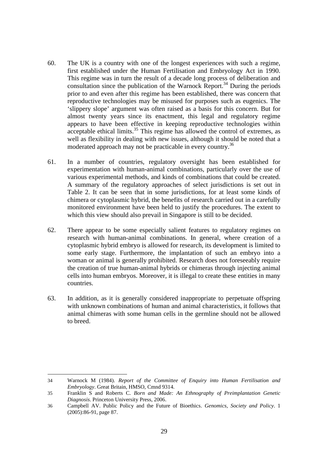- 60. The UK is a country with one of the longest experiences with such a regime, first established under the Human Fertilisation and Embryology Act in 1990. This regime was in turn the result of a decade long process of deliberation and consultation since the publication of the Warnock Report.<sup>34</sup> During the periods prior to and even after this regime has been established, there was concern that reproductive technologies may be misused for purposes such as eugenics. The 'slippery slope' argument was often raised as a basis for this concern. But for almost twenty years since its enactment, this legal and regulatory regime appears to have been effective in keeping reproductive technologies within  $\frac{1}{2}$  acceptable ethical limits.<sup>35</sup> This regime has allowed the control of extremes, as well as flexibility in dealing with new issues, although it should be noted that a moderated approach may not be practicable in every country.<sup>36</sup>
- 61. In a number of countries, regulatory oversight has been established for experimentation with human-animal combinations, particularly over the use of various experimental methods, and kinds of combinations that could be created. A summary of the regulatory approaches of select jurisdictions is set out in Table 2. It can be seen that in some jurisdictions, for at least some kinds of chimera or cytoplasmic hybrid, the benefits of research carried out in a carefully monitored environment have been held to justify the procedures. The extent to which this view should also prevail in Singapore is still to be decided.
- 62. There appear to be some especially salient features to regulatory regimes on research with human-animal combinations. In general, where creation of a cytoplasmic hybrid embryo is allowed for research, its development is limited to some early stage. Furthermore, the implantation of such an embryo into a woman or animal is generally prohibited. Research does not foreseeably require the creation of true human-animal hybrids or chimeras through injecting animal cells into human embryos. Moreover, it is illegal to create these entities in many countries.
- 63. In addition, as it is generally considered inappropriate to perpetuate offspring with unknown combinations of human and animal characteristics, it follows that animal chimeras with some human cells in the germline should not be allowed to breed.

 $\overline{a}$ 34 Warnock M (1984). *Report of the Committee of Enquiry into Human Fertilisation and Embryology*. Great Britain, HMSO, Cmnd 9314.

<sup>35</sup> Franklin S and Roberts C. *Born and Made: An Ethnography of Preimplantation Genetic Diagnosis*. Princeton University Press, 2006.

<sup>36</sup> Campbell AV. Public Policy and the Future of Bioethics. *Genomics, Society and Policy*. 1 (2005):86-91, page 87.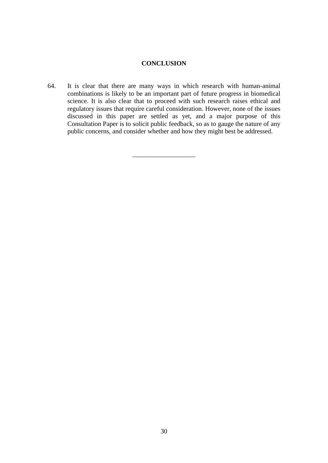# **CONCLUSION**

64. It is clear that there are many ways in which research with human-animal combinations is likely to be an important part of future progress in biomedical science. It is also clear that to proceed with such research raises ethical and regulatory issues that require careful consideration. However, none of the issues discussed in this paper are settled as yet, and a major purpose of this Consultation Paper is to solicit public feedback, so as to gauge the nature of any public concerns, and consider whether and how they might best be addressed.

\_\_\_\_\_\_\_\_\_\_\_\_\_\_\_\_\_\_\_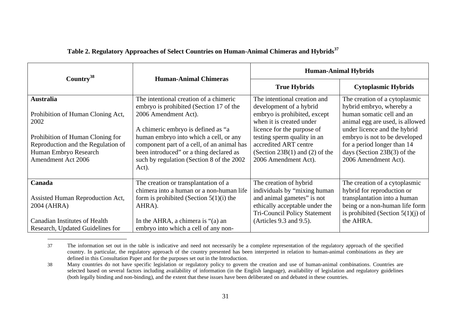| Country <sup>38</sup>                                                                                                                                                                  | <b>Human-Animal Chimeras</b>                                                                                                                                                                                                                                                                                                              | <b>Human-Animal Hybrids</b>                                                                                                                                                                                                                                           |                                                                                                                                                                                                                                                                                    |
|----------------------------------------------------------------------------------------------------------------------------------------------------------------------------------------|-------------------------------------------------------------------------------------------------------------------------------------------------------------------------------------------------------------------------------------------------------------------------------------------------------------------------------------------|-----------------------------------------------------------------------------------------------------------------------------------------------------------------------------------------------------------------------------------------------------------------------|------------------------------------------------------------------------------------------------------------------------------------------------------------------------------------------------------------------------------------------------------------------------------------|
|                                                                                                                                                                                        |                                                                                                                                                                                                                                                                                                                                           | <b>True Hybrids</b>                                                                                                                                                                                                                                                   | <b>Cytoplasmic Hybrids</b>                                                                                                                                                                                                                                                         |
| <b>Australia</b><br>Prohibition of Human Cloning Act,<br>2002<br>Prohibition of Human Cloning for<br>Reproduction and the Regulation of<br>Human Embryo Research<br>Amendment Act 2006 | The intentional creation of a chimeric<br>embryo is prohibited (Section 17 of the<br>2006 Amendment Act).<br>A chimeric embryo is defined as "a<br>human embryo into which a cell, or any<br>component part of a cell, of an animal has<br>been introduced" or a thing declared as<br>such by regulation (Section 8 of the 2002)<br>Act). | The intentional creation and<br>development of a hybrid<br>embryo is prohibited, except<br>when it is created under<br>licence for the purpose of<br>testing sperm quality in an<br>accredited ART centre<br>(Section $23B(1)$ and (2) of the<br>2006 Amendment Act). | The creation of a cytoplasmic<br>hybrid embryo, whereby a<br>human somatic cell and an<br>animal egg are used, is allowed<br>under licence and the hybrid<br>embryo is not to be developed<br>for a period longer than 14<br>days (Section $23B(3)$ of the<br>2006 Amendment Act). |
| Canada<br>Assisted Human Reproduction Act,<br>2004 (AHRA)<br><b>Canadian Institutes of Health</b><br>Research, Updated Guidelines for                                                  | The creation or transplantation of a<br>chimera into a human or a non-human life<br>form is prohibited (Section $5(1)(i)$ the<br>AHRA).<br>In the AHRA, a chimera is $\degree$ (a) an<br>embryo into which a cell of any non-                                                                                                             | The creation of hybrid<br>individuals by "mixing human<br>and animal gametes" is not<br>ethically acceptable under the<br><b>Tri-Council Policy Statement</b><br>(Articles 9.3 and 9.5).                                                                              | The creation of a cytoplasmic<br>hybrid for reproduction or<br>transplantation into a human<br>being or a non-human life form<br>is prohibited (Section $5(1)(i)$ ) of<br>the AHRA.                                                                                                |

## **Table 2. Regulatory Approaches of Select Countries on Human-Animal Chimeras and Hybrids<sup>37</sup>**

<sup>37</sup> The information set out in the table is indicative and need not necessarily be a complete representation of the regulatory approach of the specified country. In particular, the regulatory approach of the country presented has been interpreted in relation to human-animal combinations as they are defined in this Consultation Paper and for the purposes set out in the Introduction.

<sup>38</sup> Many countries do not have specific legislation or regulatory policy to govern the creation and use of human-animal combinations. Countries are selected based on several factors including availability of information (in the English language), availability of legislation and regulatory guidelines (both legally binding and non-binding), and the extent that these issues have been deliberated on and debated in these countries.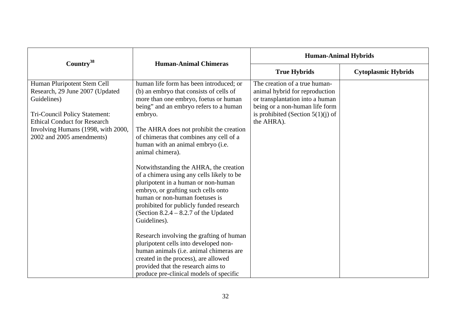| Country <sup>38</sup>                                                                                                                                                                                                    | <b>Human-Animal Chimeras</b>                                                                                                                                                                                                                                                                                                                                                                                                                                                                                                                                                                                                                 | <b>Human-Animal Hybrids</b>                                                                                                                                                                 |                            |
|--------------------------------------------------------------------------------------------------------------------------------------------------------------------------------------------------------------------------|----------------------------------------------------------------------------------------------------------------------------------------------------------------------------------------------------------------------------------------------------------------------------------------------------------------------------------------------------------------------------------------------------------------------------------------------------------------------------------------------------------------------------------------------------------------------------------------------------------------------------------------------|---------------------------------------------------------------------------------------------------------------------------------------------------------------------------------------------|----------------------------|
|                                                                                                                                                                                                                          |                                                                                                                                                                                                                                                                                                                                                                                                                                                                                                                                                                                                                                              | <b>True Hybrids</b>                                                                                                                                                                         | <b>Cytoplasmic Hybrids</b> |
| Human Pluripotent Stem Cell<br>Research, 29 June 2007 (Updated<br>Guidelines)<br>Tri-Council Policy Statement:<br><b>Ethical Conduct for Research</b><br>Involving Humans (1998, with 2000,<br>2002 and 2005 amendments) | human life form has been introduced; or<br>(b) an embryo that consists of cells of<br>more than one embryo, foetus or human<br>being" and an embryo refers to a human<br>embryo.<br>The AHRA does not prohibit the creation<br>of chimeras that combines any cell of a<br>human with an animal embryo (i.e.<br>animal chimera).<br>Notwithstanding the AHRA, the creation<br>of a chimera using any cells likely to be<br>pluripotent in a human or non-human<br>embryo, or grafting such cells onto<br>human or non-human foetuses is<br>prohibited for publicly funded research<br>(Section $8.2.4 - 8.2.7$ of the Updated<br>Guidelines). | The creation of a true human-<br>animal hybrid for reproduction<br>or transplantation into a human<br>being or a non-human life form<br>is prohibited (Section $5(1)(i)$ ) of<br>the AHRA). |                            |
|                                                                                                                                                                                                                          | Research involving the grafting of human<br>pluripotent cells into developed non-<br>human animals (i.e. animal chimeras are<br>created in the process), are allowed<br>provided that the research aims to<br>produce pre-clinical models of specific                                                                                                                                                                                                                                                                                                                                                                                        |                                                                                                                                                                                             |                            |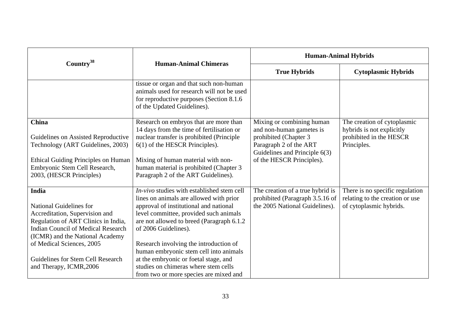|                                                                                                                                                                                                         | <b>Human-Animal Chimeras</b>                                                                                                                                                                                                                           | <b>Human-Animal Hybrids</b>                                                                                                                                            |                                                                                                    |
|---------------------------------------------------------------------------------------------------------------------------------------------------------------------------------------------------------|--------------------------------------------------------------------------------------------------------------------------------------------------------------------------------------------------------------------------------------------------------|------------------------------------------------------------------------------------------------------------------------------------------------------------------------|----------------------------------------------------------------------------------------------------|
| Country <sup>38</sup>                                                                                                                                                                                   |                                                                                                                                                                                                                                                        | <b>True Hybrids</b>                                                                                                                                                    | <b>Cytoplasmic Hybrids</b>                                                                         |
|                                                                                                                                                                                                         | tissue or organ and that such non-human<br>animals used for research will not be used<br>for reproductive purposes (Section 8.1.6)<br>of the Updated Guidelines).                                                                                      |                                                                                                                                                                        |                                                                                                    |
| China<br>Guidelines on Assisted Reproductive<br>Technology (ART Guidelines, 2003)<br><b>Ethical Guiding Principles on Human</b><br>Embryonic Stem Cell Research,                                        | Research on embryos that are more than<br>14 days from the time of fertilisation or<br>nuclear transfer is prohibited (Principle<br>$6(1)$ of the HESCR Principles).<br>Mixing of human material with non-<br>human material is prohibited (Chapter 3) | Mixing or combining human<br>and non-human gametes is<br>prohibited (Chapter 3<br>Paragraph 2 of the ART<br>Guidelines and Principle 6(3)<br>of the HESCR Principles). | The creation of cytoplasmic<br>hybrids is not explicitly<br>prohibited in the HESCR<br>Principles. |
| 2003, (HESCR Principles)                                                                                                                                                                                | Paragraph 2 of the ART Guidelines).                                                                                                                                                                                                                    |                                                                                                                                                                        |                                                                                                    |
| <b>India</b><br><b>National Guidelines for</b><br>Accreditation, Supervision and<br>Regulation of ART Clinics in India,<br><b>Indian Council of Medical Research</b><br>(ICMR) and the National Academy | $In-vivo$ studies with established stem cell<br>lines on animals are allowed with prior<br>approval of institutional and national<br>level committee, provided such animals<br>are not allowed to breed (Paragraph 6.1.2)<br>of 2006 Guidelines).      | The creation of a true hybrid is<br>prohibited (Paragraph 3.5.16 of<br>the 2005 National Guidelines).                                                                  | There is no specific regulation<br>relating to the creation or use<br>of cytoplasmic hybrids.      |
| of Medical Sciences, 2005<br>Guidelines for Stem Cell Research<br>and Therapy, ICMR, 2006                                                                                                               | Research involving the introduction of<br>human embryonic stem cell into animals<br>at the embryonic or foetal stage, and<br>studies on chimeras where stem cells<br>from two or more species are mixed and                                            |                                                                                                                                                                        |                                                                                                    |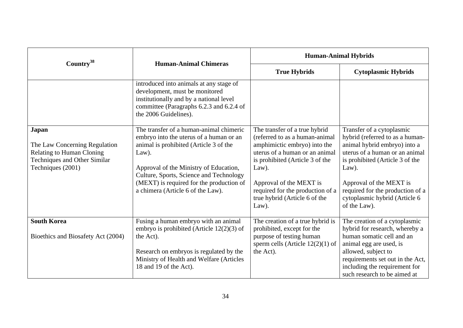|                                                                                                                          | <b>Human-Animal Chimeras</b>                                                                                                                                                                                                                                                                                | <b>Human-Animal Hybrids</b>                                                                                                                                                                                                                                                            |                                                                                                                                                                                                                                                                                            |
|--------------------------------------------------------------------------------------------------------------------------|-------------------------------------------------------------------------------------------------------------------------------------------------------------------------------------------------------------------------------------------------------------------------------------------------------------|----------------------------------------------------------------------------------------------------------------------------------------------------------------------------------------------------------------------------------------------------------------------------------------|--------------------------------------------------------------------------------------------------------------------------------------------------------------------------------------------------------------------------------------------------------------------------------------------|
| Country <sup>38</sup>                                                                                                    |                                                                                                                                                                                                                                                                                                             | <b>True Hybrids</b>                                                                                                                                                                                                                                                                    | <b>Cytoplasmic Hybrids</b>                                                                                                                                                                                                                                                                 |
|                                                                                                                          | introduced into animals at any stage of<br>development, must be monitored<br>institutionally and by a national level<br>committee (Paragraphs 6.2.3 and 6.2.4 of<br>the 2006 Guidelines).                                                                                                                   |                                                                                                                                                                                                                                                                                        |                                                                                                                                                                                                                                                                                            |
| Japan<br>The Law Concerning Regulation<br>Relating to Human Cloning<br>Techniques and Other Similar<br>Techniques (2001) | The transfer of a human-animal chimeric<br>embryo into the uterus of a human or an<br>animal is prohibited (Article 3 of the<br>Law).<br>Approval of the Ministry of Education,<br>Culture, Sports, Science and Technology<br>(MEXT) is required for the production of<br>a chimera (Article 6 of the Law). | The transfer of a true hybrid<br>(referred to as a human-animal<br>amphimictic embryo) into the<br>uterus of a human or an animal<br>is prohibited (Article 3 of the<br>Law).<br>Approval of the MEXT is<br>required for the production of a<br>true hybrid (Article 6 of the<br>Law). | Transfer of a cytoplasmic<br>hybrid (referred to as a human-<br>animal hybrid embryo) into a<br>uterus of a human or an animal<br>is prohibited (Article 3 of the<br>Law).<br>Approval of the MEXT is<br>required for the production of a<br>cytoplasmic hybrid (Article 6<br>of the Law). |
| <b>South Korea</b><br>Bioethics and Biosafety Act (2004)                                                                 | Fusing a human embryo with an animal<br>embryo is prohibited (Article $12(2)(3)$ of<br>the Act).<br>Research on embryos is regulated by the<br>Ministry of Health and Welfare (Articles<br>18 and 19 of the Act).                                                                                           | The creation of a true hybrid is<br>prohibited, except for the<br>purpose of testing human<br>sperm cells (Article $12(2)(1)$ of<br>the Act).                                                                                                                                          | The creation of a cytoplasmic<br>hybrid for research, whereby a<br>human somatic cell and an<br>animal egg are used, is<br>allowed, subject to<br>requirements set out in the Act,<br>including the requirement for<br>such research to be aimed at                                        |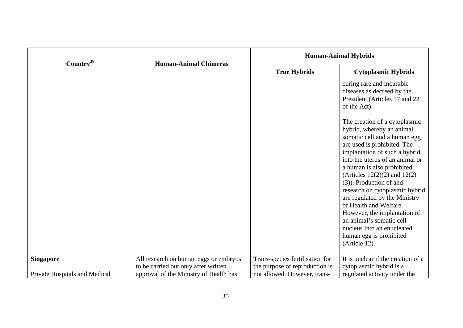| Country <sup>38</sup>         | <b>Human-Animal Chimeras</b>                                                  | <b>Human-Animal Hybrids</b>                                       |                                                                                                                                                                                                                                                                                                                                                                                                                                                                                                                                                                   |
|-------------------------------|-------------------------------------------------------------------------------|-------------------------------------------------------------------|-------------------------------------------------------------------------------------------------------------------------------------------------------------------------------------------------------------------------------------------------------------------------------------------------------------------------------------------------------------------------------------------------------------------------------------------------------------------------------------------------------------------------------------------------------------------|
|                               |                                                                               | <b>True Hybrids</b>                                               | <b>Cytoplasmic Hybrids</b>                                                                                                                                                                                                                                                                                                                                                                                                                                                                                                                                        |
|                               |                                                                               |                                                                   | curing rare and incurable<br>diseases as decreed by the<br>President (Articles 17 and 22<br>of the Act).<br>The creation of a cytoplasmic<br>hybrid, whereby an animal<br>somatic cell and a human egg<br>are used is prohibited. The<br>implantation of such a hybrid<br>into the uterus of an animal or<br>a human is also prohibited<br>(Articles $12(2)(2)$ and $12(2)$ )<br>(3)). Production of and<br>research on cytoplasmic hybrid<br>are regulated by the Ministry<br>of Health and Welfare.<br>However, the implantation of<br>an animal's somatic cell |
|                               |                                                                               |                                                                   | nucleus into an enucleated<br>human egg is prohibited<br>(Article 12).                                                                                                                                                                                                                                                                                                                                                                                                                                                                                            |
| <b>Singapore</b>              | All research on human eggs or embryos<br>to be carried out only after written | Trans-species fertilisation for<br>the purpose of reproduction is | It is unclear if the creation of a<br>cytoplasmic hybrid is a                                                                                                                                                                                                                                                                                                                                                                                                                                                                                                     |
| Private Hospitals and Medical | approval of the Ministry of Health has                                        | not allowed. However, trans-                                      | regulated activity under the                                                                                                                                                                                                                                                                                                                                                                                                                                                                                                                                      |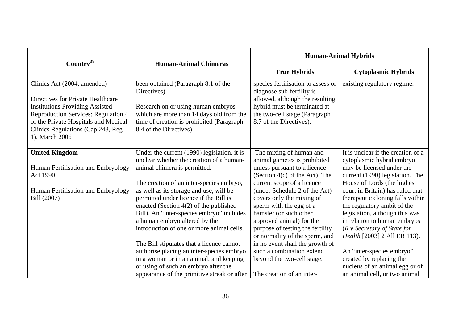|                                                                                                                                                                                                                                                         |                                                                                                                                                                                                                                                          | <b>Human-Animal Hybrids</b>                                                                                                                                                                                       |                                                                                                                                                                                                                                                            |
|---------------------------------------------------------------------------------------------------------------------------------------------------------------------------------------------------------------------------------------------------------|----------------------------------------------------------------------------------------------------------------------------------------------------------------------------------------------------------------------------------------------------------|-------------------------------------------------------------------------------------------------------------------------------------------------------------------------------------------------------------------|------------------------------------------------------------------------------------------------------------------------------------------------------------------------------------------------------------------------------------------------------------|
| Country <sup>38</sup>                                                                                                                                                                                                                                   | <b>Human-Animal Chimeras</b>                                                                                                                                                                                                                             | <b>True Hybrids</b>                                                                                                                                                                                               | <b>Cytoplasmic Hybrids</b>                                                                                                                                                                                                                                 |
| Clinics Act (2004, amended)<br>Directives for Private Healthcare<br><b>Institutions Providing Assisted</b><br><b>Reproduction Services: Regulation 4</b><br>of the Private Hospitals and Medical<br>Clinics Regulations (Cap 248, Reg<br>1), March 2006 | been obtained (Paragraph 8.1 of the<br>Directives).<br>Research on or using human embryos<br>which are more than 14 days old from the<br>time of creation is prohibited (Paragraph)<br>8.4 of the Directives).                                           | species fertilisation to assess or<br>diagnose sub-fertility is<br>allowed, although the resulting<br>hybrid must be terminated at<br>the two-cell stage (Paragraph<br>8.7 of the Directives).                    | existing regulatory regime.                                                                                                                                                                                                                                |
| <b>United Kingdom</b><br>Human Fertilisation and Embryology                                                                                                                                                                                             | Under the current (1990) legislation, it is<br>unclear whether the creation of a human-<br>animal chimera is permitted.                                                                                                                                  | The mixing of human and<br>animal gametes is prohibited<br>unless pursuant to a licence                                                                                                                           | It is unclear if the creation of a<br>cytoplasmic hybrid embryo<br>may be licensed under the                                                                                                                                                               |
| Act 1990                                                                                                                                                                                                                                                | The creation of an inter-species embryo,                                                                                                                                                                                                                 | (Section $4(c)$ of the Act). The<br>current scope of a licence                                                                                                                                                    | current (1990) legislation. The<br>House of Lords (the highest                                                                                                                                                                                             |
| Human Fertilisation and Embryology<br>Bill (2007)                                                                                                                                                                                                       | as well as its storage and use, will be<br>permitted under licence if the Bill is<br>enacted (Section $4(2)$ of the published<br>Bill). An "inter-species embryo" includes<br>a human embryo altered by the<br>introduction of one or more animal cells. | (under Schedule 2 of the Act)<br>covers only the mixing of<br>sperm with the egg of a<br>hamster (or such other<br>approved animal) for the<br>purpose of testing the fertility<br>or normality of the sperm, and | court in Britain) has ruled that<br>therapeutic cloning falls within<br>the regulatory ambit of the<br>legislation, although this was<br>in relation to human embryos<br>$(R \vee \textit{Secretary of State for})$<br><i>Health</i> [2003] 2 All ER 113). |
|                                                                                                                                                                                                                                                         | The Bill stipulates that a licence cannot<br>authorise placing an inter-species embryo<br>in a woman or in an animal, and keeping<br>or using of such an embryo after the<br>appearance of the primitive streak or after                                 | in no event shall the growth of<br>such a combination extend<br>beyond the two-cell stage.<br>The creation of an inter-                                                                                           | An "inter-species embryo"<br>created by replacing the<br>nucleus of an animal egg or of<br>an animal cell, or two animal                                                                                                                                   |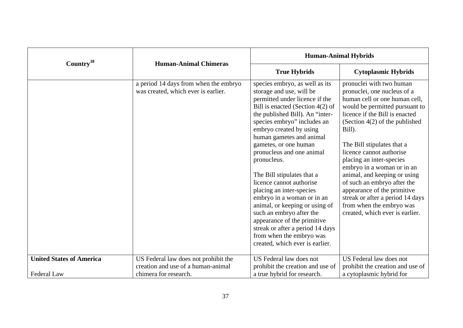|                                 | <b>Human-Animal Chimeras</b>                                                 | <b>Human-Animal Hybrids</b>                                                                                                                                                                                                                                                                                                                                                                                                                                                                                                                                                                                                                          |                                                                                                                                                                                                                                                                                                                                                                                                                                                                                                                                 |
|---------------------------------|------------------------------------------------------------------------------|------------------------------------------------------------------------------------------------------------------------------------------------------------------------------------------------------------------------------------------------------------------------------------------------------------------------------------------------------------------------------------------------------------------------------------------------------------------------------------------------------------------------------------------------------------------------------------------------------------------------------------------------------|---------------------------------------------------------------------------------------------------------------------------------------------------------------------------------------------------------------------------------------------------------------------------------------------------------------------------------------------------------------------------------------------------------------------------------------------------------------------------------------------------------------------------------|
| Country <sup>38</sup>           |                                                                              | <b>True Hybrids</b>                                                                                                                                                                                                                                                                                                                                                                                                                                                                                                                                                                                                                                  | <b>Cytoplasmic Hybrids</b>                                                                                                                                                                                                                                                                                                                                                                                                                                                                                                      |
|                                 | a period 14 days from when the embryo<br>was created, which ever is earlier. | species embryo, as well as its<br>storage and use, will be<br>permitted under licence if the<br>Bill is enacted (Section $4(2)$ of<br>the published Bill). An "inter-<br>species embryo" includes an<br>embryo created by using<br>human gametes and animal<br>gametes, or one human<br>pronucleus and one animal<br>pronucleus.<br>The Bill stipulates that a<br>licence cannot authorise<br>placing an inter-species<br>embryo in a woman or in an<br>animal, or keeping or using of<br>such an embryo after the<br>appearance of the primitive<br>streak or after a period 14 days<br>from when the embryo was<br>created, which ever is earlier. | pronuclei with two human<br>pronuclei, one nucleus of a<br>human cell or one human cell,<br>would be permitted pursuant to<br>licence if the Bill is enacted<br>(Section $4(2)$ of the published<br>Bill).<br>The Bill stipulates that a<br>licence cannot authorise<br>placing an inter-species<br>embryo in a woman or in an<br>animal, and keeping or using<br>of such an embryo after the<br>appearance of the primitive<br>streak or after a period 14 days<br>from when the embryo was<br>created, which ever is earlier. |
| <b>United States of America</b> | US Federal law does not prohibit the<br>creation and use of a human-animal   | US Federal law does not<br>prohibit the creation and use of                                                                                                                                                                                                                                                                                                                                                                                                                                                                                                                                                                                          | US Federal law does not<br>prohibit the creation and use of                                                                                                                                                                                                                                                                                                                                                                                                                                                                     |
| Federal Law                     | chimera for research.                                                        | a true hybrid for research.                                                                                                                                                                                                                                                                                                                                                                                                                                                                                                                                                                                                                          | a cytoplasmic hybrid for                                                                                                                                                                                                                                                                                                                                                                                                                                                                                                        |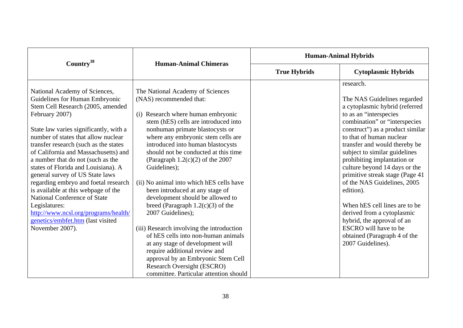| Country <sup>38</sup>                                                                                                                                                                                                                                                                                                                                                                                                                                                                                                                                                                                                                   | <b>Human-Animal Chimeras</b>                                                                                                                                                                                                                                                                                                                                                                                                                                                                                                                                                                                                                                                                                                                                                                                       | <b>Human-Animal Hybrids</b> |                                                                                                                                                                                                                                                                                                                                                                                                                                                                                                                                                                                                            |
|-----------------------------------------------------------------------------------------------------------------------------------------------------------------------------------------------------------------------------------------------------------------------------------------------------------------------------------------------------------------------------------------------------------------------------------------------------------------------------------------------------------------------------------------------------------------------------------------------------------------------------------------|--------------------------------------------------------------------------------------------------------------------------------------------------------------------------------------------------------------------------------------------------------------------------------------------------------------------------------------------------------------------------------------------------------------------------------------------------------------------------------------------------------------------------------------------------------------------------------------------------------------------------------------------------------------------------------------------------------------------------------------------------------------------------------------------------------------------|-----------------------------|------------------------------------------------------------------------------------------------------------------------------------------------------------------------------------------------------------------------------------------------------------------------------------------------------------------------------------------------------------------------------------------------------------------------------------------------------------------------------------------------------------------------------------------------------------------------------------------------------------|
|                                                                                                                                                                                                                                                                                                                                                                                                                                                                                                                                                                                                                                         |                                                                                                                                                                                                                                                                                                                                                                                                                                                                                                                                                                                                                                                                                                                                                                                                                    | <b>True Hybrids</b>         | <b>Cytoplasmic Hybrids</b>                                                                                                                                                                                                                                                                                                                                                                                                                                                                                                                                                                                 |
| National Academy of Sciences,<br>Guidelines for Human Embryonic<br>Stem Cell Research (2005, amended<br>February 2007)<br>State law varies significantly, with a<br>number of states that allow nuclear<br>transfer research (such as the states<br>of California and Massachusetts) and<br>a number that do not (such as the<br>states of Florida and Louisiana). A<br>general survey of US State laws<br>regarding embryo and foetal research<br>is available at this webpage of the<br>National Conference of State<br>Legislatures:<br>http://www.ncsl.org/programs/health/<br>genetics/embfet.htm (last visited<br>November 2007). | The National Academy of Sciences<br>(NAS) recommended that:<br>(i) Research where human embryonic<br>stem (hES) cells are introduced into<br>nonhuman primate blastocysts or<br>where any embryonic stem cells are<br>introduced into human blastocysts<br>should not be conducted at this time<br>(Paragraph $1.2(c)(2)$ of the 2007<br>Guidelines);<br>(ii) No animal into which hES cells have<br>been introduced at any stage of<br>development should be allowed to<br>breed (Paragraph $1.2(c)(3)$ of the<br>2007 Guidelines);<br>(iii) Research involving the introduction<br>of hES cells into non-human animals<br>at any stage of development will<br>require additional review and<br>approval by an Embryonic Stem Cell<br><b>Research Oversight (ESCRO)</b><br>committee. Particular attention should |                             | research.<br>The NAS Guidelines regarded<br>a cytoplasmic hybrid (referred<br>to as an "interspecies"<br>combination" or "interspecies"<br>construct") as a product similar<br>to that of human nuclear<br>transfer and would thereby be<br>subject to similar guidelines<br>prohibiting implantation or<br>culture beyond 14 days or the<br>primitive streak stage (Page 41<br>of the NAS Guidelines, 2005<br>edition).<br>When hES cell lines are to be<br>derived from a cytoplasmic<br>hybrid, the approval of an<br><b>ESCRO</b> will have to be<br>obtained (Paragraph 4 of the<br>2007 Guidelines). |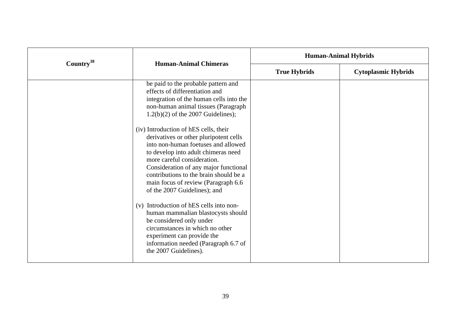| Country <sup>38</sup> | <b>Human-Animal Chimeras</b>                                                                                                                                                                                                                                                                                                                                                                                                                                                                                                                                                                                                                                                                                                                                                                             | <b>Human-Animal Hybrids</b> |                            |
|-----------------------|----------------------------------------------------------------------------------------------------------------------------------------------------------------------------------------------------------------------------------------------------------------------------------------------------------------------------------------------------------------------------------------------------------------------------------------------------------------------------------------------------------------------------------------------------------------------------------------------------------------------------------------------------------------------------------------------------------------------------------------------------------------------------------------------------------|-----------------------------|----------------------------|
|                       |                                                                                                                                                                                                                                                                                                                                                                                                                                                                                                                                                                                                                                                                                                                                                                                                          | <b>True Hybrids</b>         | <b>Cytoplasmic Hybrids</b> |
|                       | be paid to the probable pattern and<br>effects of differentiation and<br>integration of the human cells into the<br>non-human animal tissues (Paragraph<br>$1.2(b)(2)$ of the 2007 Guidelines);<br>(iv) Introduction of hES cells, their<br>derivatives or other pluripotent cells<br>into non-human foetuses and allowed<br>to develop into adult chimeras need<br>more careful consideration.<br>Consideration of any major functional<br>contributions to the brain should be a<br>main focus of review (Paragraph 6.6<br>of the 2007 Guidelines); and<br>(v) Introduction of hES cells into non-<br>human mammalian blastocysts should<br>be considered only under<br>circumstances in which no other<br>experiment can provide the<br>information needed (Paragraph 6.7 of<br>the 2007 Guidelines). |                             |                            |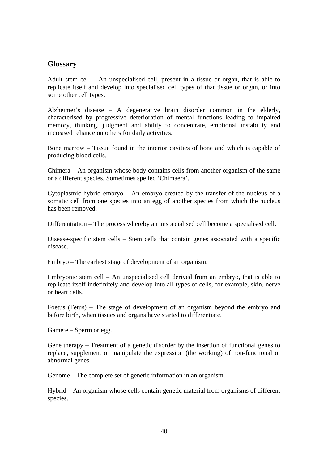# **Glossary**

Adult stem cell – An unspecialised cell, present in a tissue or organ, that is able to replicate itself and develop into specialised cell types of that tissue or organ, or into some other cell types.

Alzheimer's disease – A degenerative brain disorder common in the elderly, characterised by progressive deterioration of mental functions leading to impaired memory, thinking, judgment and ability to concentrate, emotional instability and increased reliance on others for daily activities.

Bone marrow – Tissue found in the interior cavities of bone and which is capable of producing blood cells.

Chimera – An organism whose body contains cells from another organism of the same or a different species. Sometimes spelled 'Chimaera'.

Cytoplasmic hybrid embryo – An embryo created by the transfer of the nucleus of a somatic cell from one species into an egg of another species from which the nucleus has been removed.

Differentiation – The process whereby an unspecialised cell become a specialised cell.

Disease-specific stem cells – Stem cells that contain genes associated with a specific disease.

Embryo – The earliest stage of development of an organism.

Embryonic stem cell – An unspecialised cell derived from an embryo, that is able to replicate itself indefinitely and develop into all types of cells, for example, skin, nerve or heart cells.

Foetus (Fetus) – The stage of development of an organism beyond the embryo and before birth, when tissues and organs have started to differentiate.

Gamete – Sperm or egg.

Gene therapy – Treatment of a genetic disorder by the insertion of functional genes to replace, supplement or manipulate the expression (the working) of non-functional or abnormal genes.

Genome – The complete set of genetic information in an organism.

Hybrid – An organism whose cells contain genetic material from organisms of different species.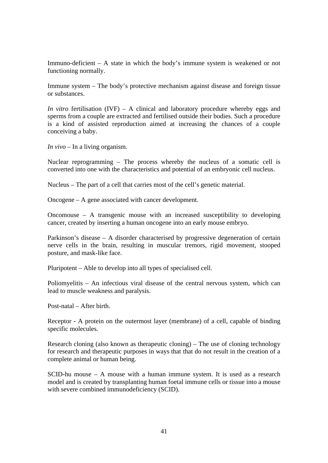Immuno-deficient – A state in which the body's immune system is weakened or not functioning normally.

Immune system – The body's protective mechanism against disease and foreign tissue or substances.

*In vitro* fertilisation (IVF) – A clinical and laboratory procedure whereby eggs and sperms from a couple are extracted and fertilised outside their bodies. Such a procedure is a kind of assisted reproduction aimed at increasing the chances of a couple conceiving a baby.

*In vivo* – In a living organism.

Nuclear reprogramming – The process whereby the nucleus of a somatic cell is converted into one with the characteristics and potential of an embryonic cell nucleus.

Nucleus – The part of a cell that carries most of the cell's genetic material.

Oncogene – A gene associated with cancer development.

Oncomouse – A transgenic mouse with an increased susceptibility to developing cancer, created by inserting a human oncogene into an early mouse embryo.

Parkinson's disease – A disorder characterised by progressive degeneration of certain nerve cells in the brain, resulting in muscular tremors, rigid movement, stooped posture, and mask-like face.

Pluripotent – Able to develop into all types of specialised cell.

Poliomyelitis – An infectious viral disease of the central nervous system, which can lead to muscle weakness and paralysis.

Post-natal – After birth.

Receptor - A protein on the outermost layer (membrane) of a cell, capable of binding specific molecules.

Research cloning (also known as therapeutic cloning) – The use of cloning technology for research and therapeutic purposes in ways that that do not result in the creation of a complete animal or human being.

SCID-hu mouse – A mouse with a human immune system. It is used as a research model and is created by transplanting human foetal immune cells or tissue into a mouse with severe combined immunodeficiency (SCID).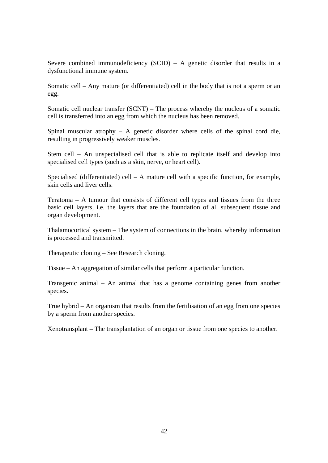Severe combined immunodeficiency  $(SCID) - A$  genetic disorder that results in a dysfunctional immune system.

Somatic cell – Any mature (or differentiated) cell in the body that is not a sperm or an egg.

Somatic cell nuclear transfer (SCNT) – The process whereby the nucleus of a somatic cell is transferred into an egg from which the nucleus has been removed.

Spinal muscular atrophy – A genetic disorder where cells of the spinal cord die, resulting in progressively weaker muscles.

Stem cell – An unspecialised cell that is able to replicate itself and develop into specialised cell types (such as a skin, nerve, or heart cell).

Specialised (differentiated) cell – A mature cell with a specific function, for example, skin cells and liver cells.

Teratoma – A tumour that consists of different cell types and tissues from the three basic cell layers, i.e. the layers that are the foundation of all subsequent tissue and organ development.

Thalamocortical system – The system of connections in the brain, whereby information is processed and transmitted.

Therapeutic cloning – See Research cloning.

Tissue – An aggregation of similar cells that perform a particular function.

Transgenic animal – An animal that has a genome containing genes from another species.

True hybrid – An organism that results from the fertilisation of an egg from one species by a sperm from another species.

Xenotransplant – The transplantation of an organ or tissue from one species to another.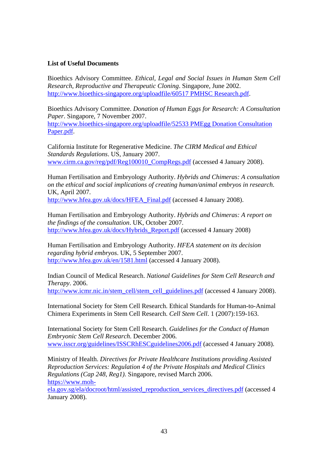# **List of Useful Documents**

Bioethics Advisory Committee. *Ethical, Legal and Social Issues in Human Stem Cell Research, Reproductive and Therapeutic Cloning*. Singapore, June 2002. http://www.bioethics-singapore.org/uploadfile/60517 PMHSC Research.pdf.

Bioethics Advisory Committee. *Donation of Human Eggs for Research: A Consultation Paper*. Singapore, 7 November 2007.

http://www.bioethics-singapore.org/uploadfile/52533 PMEgg Donation Consultation Paper.pdf.

California Institute for Regenerative Medicine. *The CIRM Medical and Ethical Standards Regulations*. US, January 2007. www.cirm.ca.gov/reg/pdf/Reg100010\_CompRegs.pdf (accessed 4 January 2008).

Human Fertilisation and Embryology Authority. *Hybrids and Chimeras: A consultation on the ethical and social implications of creating human/animal embryos in research*. UK, April 2007.

http://www.hfea.gov.uk/docs/HFEA\_Final.pdf (accessed 4 January 2008).

Human Fertilisation and Embryology Authority. *Hybrids and Chimeras: A report on the findings of the consultation*. UK, October 2007. http://www.hfea.gov.uk/docs/Hybrids\_Report.pdf (accessed 4 January 2008)

Human Fertilisation and Embryology Authority. *HFEA statement on its decision regarding hybrid embryos*. UK, 5 September 2007. http://www.hfea.gov.uk/en/1581.html (accessed 4 January 2008).

Indian Council of Medical Research. *National Guidelines for Stem Cell Research and Therapy*. 2006. http://www.icmr.nic.in/stem\_cell/stem\_cell\_guidelines.pdf (accessed 4 January 2008).

International Society for Stem Cell Research. Ethical Standards for Human-to-Animal Chimera Experiments in Stem Cell Research. *Cell Stem Cell*. 1 (2007):159-163.

International Society for Stem Cell Research. *Guidelines for the Conduct of Human Embryonic Stem Cell Research*. December 2006. www.isscr.org/guidelines/ISSCRhESCguidelines2006.pdf (accessed 4 January 2008).

Ministry of Health. *Directives for Private Healthcare Institutions providing Assisted Reproduction Services: Regulation 4 of the Private Hospitals and Medical Clinics Regulations (Cap 248, Reg1).* Singapore, revised March 2006. https://www.moh-

ela.gov.sg/ela/docroot/html/assisted\_reproduction\_services\_directives.pdf (accessed 4 January 2008).